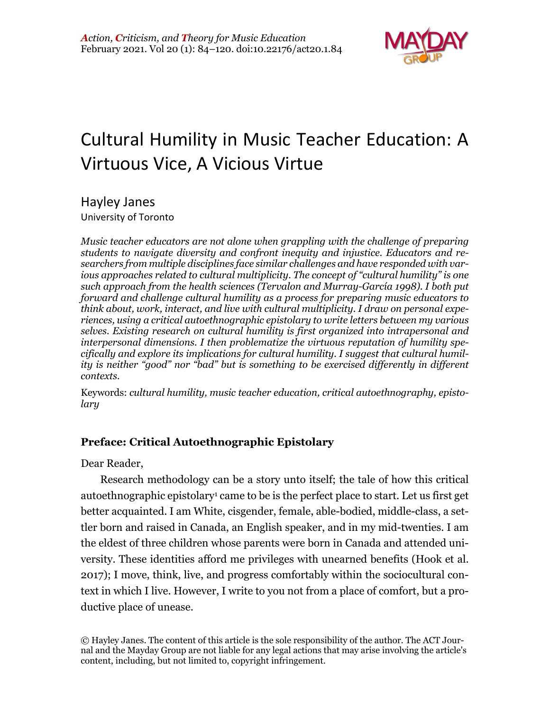

# Cultural Humility in Music Teacher Education: A Virtuous Vice, A Vicious Virtue

Hayley Janes

University of Toronto

*Music teacher educators are not alone when grappling with the challenge of preparing students to navigate diversity and confront inequity and injustice. Educators and researchers from multiple disciplines face similar challenges and have responded with various approaches related to cultural multiplicity. The concept of "cultural humility" is one such approach from the health sciences (Tervalon and Murray-García 1998). I both put forward and challenge cultural humility as a process for preparing music educators to think about, work, interact, and live with cultural multiplicity. I draw on personal experiences, using a critical autoethnographic epistolary to write letters between my various selves. Existing research on cultural humility is first organized into intrapersonal and interpersonal dimensions. I then problematize the virtuous reputation of humility specifically and explore its implications for cultural humility. I suggest that cultural humility is neither "good" nor "bad" but is something to be exercised differently in different contexts.*

Keywords: *cultural humility, music teacher education, critical autoethnography, epistolary*

# **Preface: Critical Autoethnographic Epistolary**

Dear Reader,

Research methodology can be a story unto itself; the tale of how this critical autoethnographic epistolary1 came to be is the perfect place to start. Let us first get better acquainted. I am White, cisgender, female, able-bodied, middle-class, a settler born and raised in Canada, an English speaker, and in my mid-twenties. I am the eldest of three children whose parents were born in Canada and attended university. These identities afford me privileges with unearned benefits (Hook et al. 2017); I move, think, live, and progress comfortably within the sociocultural context in which I live. However, I write to you not from a place of comfort, but a productive place of unease.

© Hayley Janes. The content of this article is the sole responsibility of the author. The ACT Journal and the Mayday Group are not liable for any legal actions that may arise involving the article's content, including, but not limited to, copyright infringement.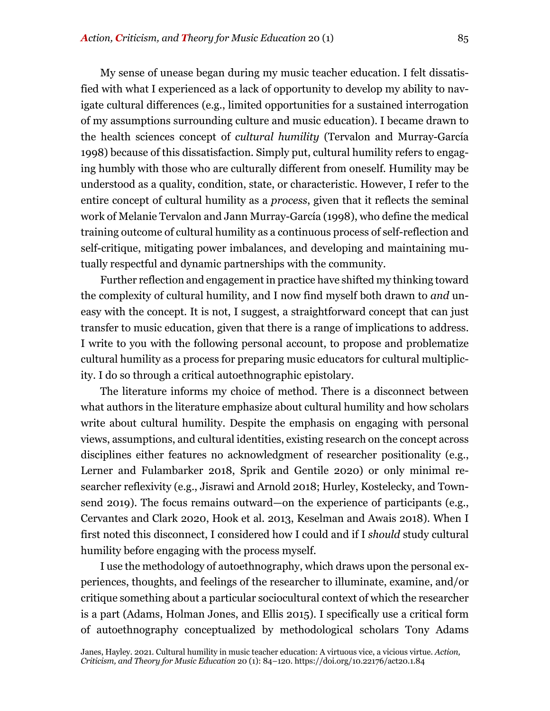My sense of unease began during my music teacher education. I felt dissatisfied with what I experienced as a lack of opportunity to develop my ability to navigate cultural differences (e.g., limited opportunities for a sustained interrogation of my assumptions surrounding culture and music education). I became drawn to the health sciences concept of *cultural humility* (Tervalon and Murray-García 1998) because of this dissatisfaction. Simply put, cultural humility refers to engaging humbly with those who are culturally different from oneself. Humility may be understood as a quality, condition, state, or characteristic. However, I refer to the entire concept of cultural humility as a *process*, given that it reflects the seminal work of Melanie Tervalon and Jann Murray-García (1998), who define the medical training outcome of cultural humility as a continuous process of self-reflection and self-critique, mitigating power imbalances, and developing and maintaining mutually respectful and dynamic partnerships with the community.

Further reflection and engagement in practice have shifted my thinking toward the complexity of cultural humility, and I now find myself both drawn to *and* uneasy with the concept. It is not, I suggest, a straightforward concept that can just transfer to music education, given that there is a range of implications to address. I write to you with the following personal account, to propose and problematize cultural humility as a process for preparing music educators for cultural multiplicity. I do so through a critical autoethnographic epistolary.

The literature informs my choice of method. There is a disconnect between what authors in the literature emphasize about cultural humility and how scholars write about cultural humility. Despite the emphasis on engaging with personal views, assumptions, and cultural identities, existing research on the concept across disciplines either features no acknowledgment of researcher positionality (e.g., Lerner and Fulambarker 2018, Sprik and Gentile 2020) or only minimal researcher reflexivity (e.g., Jisrawi and Arnold 2018; Hurley, Kostelecky, and Townsend 2019). The focus remains outward—on the experience of participants (e.g., Cervantes and Clark 2020, Hook et al. 2013, Keselman and Awais 2018). When I first noted this disconnect, I considered how I could and if I *should* study cultural humility before engaging with the process myself.

I use the methodology of autoethnography, which draws upon the personal experiences, thoughts, and feelings of the researcher to illuminate, examine, and/or critique something about a particular sociocultural context of which the researcher is a part (Adams, Holman Jones, and Ellis 2015). I specifically use a critical form of autoethnography conceptualized by methodological scholars Tony Adams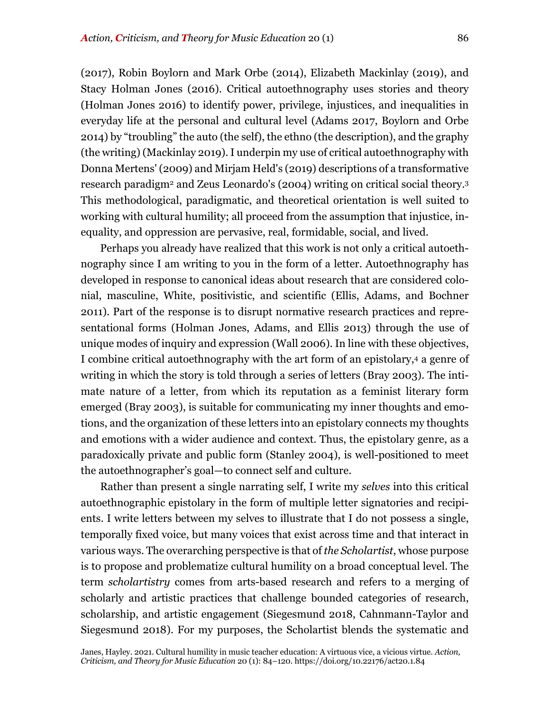(2017), Robin Boylorn and Mark Orbe (2014), Elizabeth Mackinlay (2019), and Stacy Holman Jones (2016). Critical autoethnography uses stories and theory (Holman Jones 2016) to identify power, privilege, injustices, and inequalities in everyday life at the personal and cultural level (Adams 2017, Boylorn and Orbe 2014) by "troubling" the auto (the self), the ethno (the description), and the graphy (the writing) (Mackinlay 2019). I underpin my use of critical autoethnography with Donna Mertens' (2009) and Mirjam Held's (2019) descriptions of a transformative research paradigm<sup>2</sup> and Zeus Leonardo's (2004) writing on critical social theory.<sup>3</sup> This methodological, paradigmatic, and theoretical orientation is well suited to working with cultural humility; all proceed from the assumption that injustice, inequality, and oppression are pervasive, real, formidable, social, and lived.

Perhaps you already have realized that this work is not only a critical autoethnography since I am writing to you in the form of a letter. Autoethnography has developed in response to canonical ideas about research that are considered colonial, masculine, White, positivistic, and scientific (Ellis, Adams, and Bochner 2011). Part of the response is to disrupt normative research practices and representational forms (Holman Jones, Adams, and Ellis 2013) through the use of unique modes of inquiry and expression (Wall 2006). In line with these objectives, I combine critical autoethnography with the art form of an epistolary,4 a genre of writing in which the story is told through a series of letters (Bray 2003). The intimate nature of a letter, from which its reputation as a feminist literary form emerged (Bray 2003), is suitable for communicating my inner thoughts and emotions, and the organization of these letters into an epistolary connects my thoughts and emotions with a wider audience and context. Thus, the epistolary genre, as a paradoxically private and public form (Stanley 2004), is well-positioned to meet the autoethnographer's goal—to connect self and culture.

Rather than present a single narrating self, I write my *selves* into this critical autoethnographic epistolary in the form of multiple letter signatories and recipients. I write letters between my selves to illustrate that I do not possess a single, temporally fixed voice, but many voices that exist across time and that interact in various ways. The overarching perspective is that of *the Scholartist*, whose purpose is to propose and problematize cultural humility on a broad conceptual level. The term *scholartistry* comes from arts-based research and refers to a merging of scholarly and artistic practices that challenge bounded categories of research, scholarship, and artistic engagement (Siegesmund 2018, Cahnmann-Taylor and Siegesmund 2018). For my purposes, the Scholartist blends the systematic and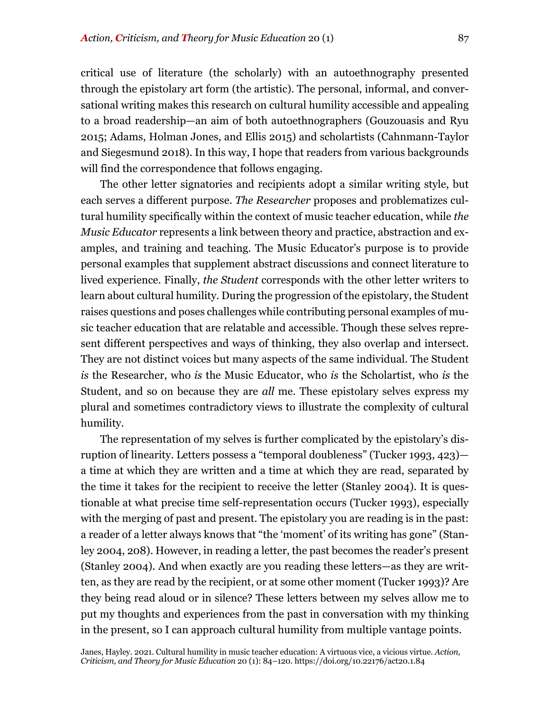critical use of literature (the scholarly) with an autoethnography presented through the epistolary art form (the artistic). The personal, informal, and conversational writing makes this research on cultural humility accessible and appealing to a broad readership—an aim of both autoethnographers (Gouzouasis and Ryu 2015; Adams, Holman Jones, and Ellis 2015) and scholartists (Cahnmann-Taylor and Siegesmund 2018). In this way, I hope that readers from various backgrounds will find the correspondence that follows engaging.

The other letter signatories and recipients adopt a similar writing style, but each serves a different purpose. *The Researcher* proposes and problematizes cultural humility specifically within the context of music teacher education, while *the Music Educator* represents a link between theory and practice, abstraction and examples, and training and teaching. The Music Educator's purpose is to provide personal examples that supplement abstract discussions and connect literature to lived experience. Finally, *the Student* corresponds with the other letter writers to learn about cultural humility. During the progression of the epistolary, the Student raises questions and poses challenges while contributing personal examples of music teacher education that are relatable and accessible. Though these selves represent different perspectives and ways of thinking, they also overlap and intersect. They are not distinct voices but many aspects of the same individual. The Student *is* the Researcher, who *is* the Music Educator, who *is* the Scholartist, who *is* the Student, and so on because they are *all* me. These epistolary selves express my plural and sometimes contradictory views to illustrate the complexity of cultural humility.

The representation of my selves is further complicated by the epistolary's disruption of linearity. Letters possess a "temporal doubleness" (Tucker 1993, 423) a time at which they are written and a time at which they are read, separated by the time it takes for the recipient to receive the letter (Stanley 2004). It is questionable at what precise time self-representation occurs (Tucker 1993), especially with the merging of past and present. The epistolary you are reading is in the past: a reader of a letter always knows that "the 'moment' of its writing has gone" (Stanley 2004, 208). However, in reading a letter, the past becomes the reader's present (Stanley 2004). And when exactly are you reading these letters—as they are written, as they are read by the recipient, or at some other moment (Tucker 1993)? Are they being read aloud or in silence? These letters between my selves allow me to put my thoughts and experiences from the past in conversation with my thinking in the present, so I can approach cultural humility from multiple vantage points.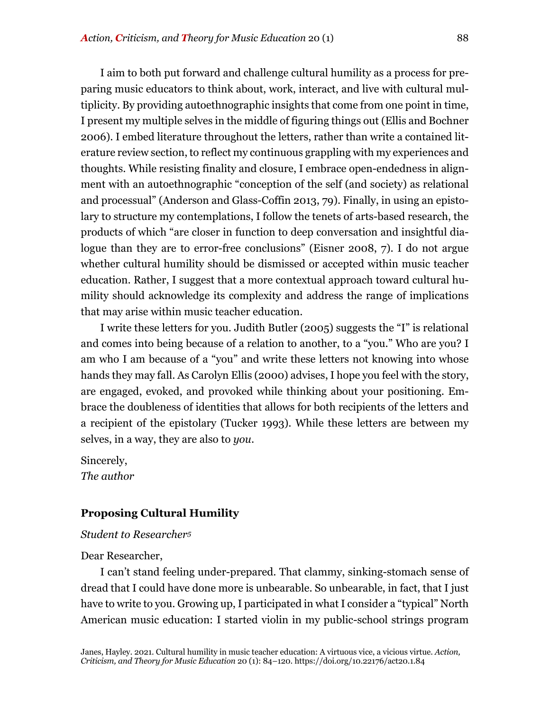I aim to both put forward and challenge cultural humility as a process for preparing music educators to think about, work, interact, and live with cultural multiplicity. By providing autoethnographic insights that come from one point in time, I present my multiple selves in the middle of figuring things out (Ellis and Bochner 2006). I embed literature throughout the letters, rather than write a contained literature review section, to reflect my continuous grappling with my experiences and thoughts. While resisting finality and closure, I embrace open-endedness in alignment with an autoethnographic "conception of the self (and society) as relational and processual" (Anderson and Glass-Coffin 2013, 79). Finally, in using an epistolary to structure my contemplations, I follow the tenets of arts-based research, the products of which "are closer in function to deep conversation and insightful dialogue than they are to error-free conclusions" (Eisner 2008, 7). I do not argue whether cultural humility should be dismissed or accepted within music teacher education. Rather, I suggest that a more contextual approach toward cultural humility should acknowledge its complexity and address the range of implications that may arise within music teacher education.

I write these letters for you. Judith Butler (2005) suggests the "I" is relational and comes into being because of a relation to another, to a "you." Who are you? I am who I am because of a "you" and write these letters not knowing into whose hands they may fall. As Carolyn Ellis (2000) advises, I hope you feel with the story, are engaged, evoked, and provoked while thinking about your positioning. Embrace the doubleness of identities that allows for both recipients of the letters and a recipient of the epistolary (Tucker 1993). While these letters are between my selves, in a way, they are also to *you*.

Sincerely, *The author*

# **Proposing Cultural Humility**

# *Student to Researcher5*

Dear Researcher,

I can't stand feeling under-prepared. That clammy, sinking-stomach sense of dread that I could have done more is unbearable. So unbearable, in fact, that I just have to write to you. Growing up, I participated in what I consider a "typical" North American music education: I started violin in my public-school strings program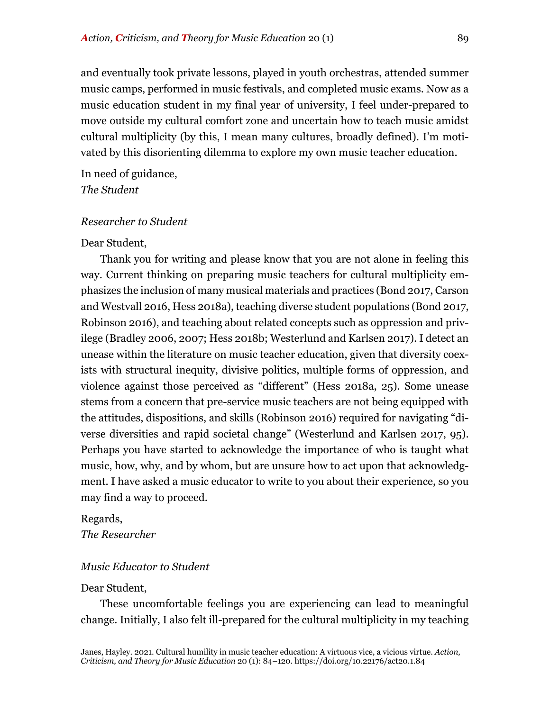and eventually took private lessons, played in youth orchestras, attended summer music camps, performed in music festivals, and completed music exams. Now as a music education student in my final year of university, I feel under-prepared to move outside my cultural comfort zone and uncertain how to teach music amidst cultural multiplicity (by this, I mean many cultures, broadly defined). I'm motivated by this disorienting dilemma to explore my own music teacher education.

In need of guidance, *The Student*

# *Researcher to Student*

# Dear Student,

Thank you for writing and please know that you are not alone in feeling this way. Current thinking on preparing music teachers for cultural multiplicity emphasizes the inclusion of many musical materials and practices (Bond 2017, Carson and Westvall 2016, Hess 2018a), teaching diverse student populations (Bond 2017, Robinson 2016), and teaching about related concepts such as oppression and privilege (Bradley 2006, 2007; Hess 2018b; Westerlund and Karlsen 2017). I detect an unease within the literature on music teacher education, given that diversity coexists with structural inequity, divisive politics, multiple forms of oppression, and violence against those perceived as "different" (Hess 2018a, 25). Some unease stems from a concern that pre-service music teachers are not being equipped with the attitudes, dispositions, and skills (Robinson 2016) required for navigating "diverse diversities and rapid societal change" (Westerlund and Karlsen 2017, 95). Perhaps you have started to acknowledge the importance of who is taught what music, how, why, and by whom, but are unsure how to act upon that acknowledgment. I have asked a music educator to write to you about their experience, so you may find a way to proceed.

# Regards,

*The Researcher*

# *Music Educator to Student*

#### Dear Student,

These uncomfortable feelings you are experiencing can lead to meaningful change. Initially, I also felt ill-prepared for the cultural multiplicity in my teaching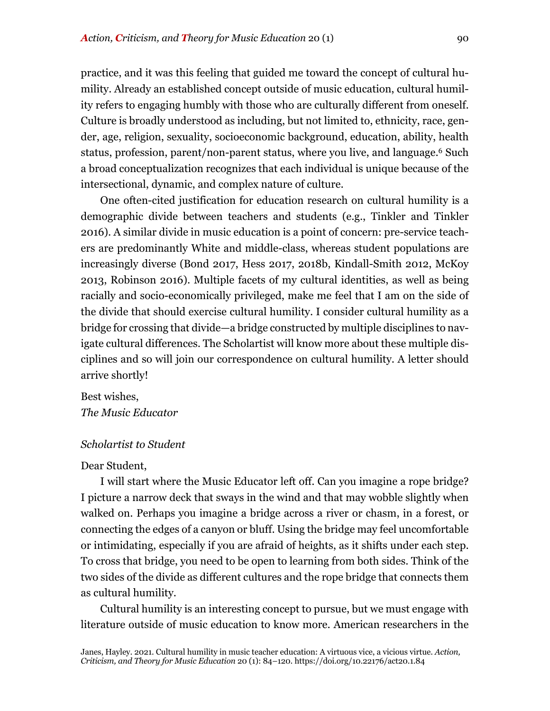practice, and it was this feeling that guided me toward the concept of cultural humility. Already an established concept outside of music education, cultural humility refers to engaging humbly with those who are culturally different from oneself. Culture is broadly understood as including, but not limited to, ethnicity, race, gender, age, religion, sexuality, socioeconomic background, education, ability, health status, profession, parent/non-parent status, where you live, and language.6 Such a broad conceptualization recognizes that each individual is unique because of the intersectional, dynamic, and complex nature of culture.

One often-cited justification for education research on cultural humility is a demographic divide between teachers and students (e.g., Tinkler and Tinkler 2016). A similar divide in music education is a point of concern: pre-service teachers are predominantly White and middle-class, whereas student populations are increasingly diverse (Bond 2017, Hess 2017, 2018b, Kindall-Smith 2012, McKoy 2013, Robinson 2016). Multiple facets of my cultural identities, as well as being racially and socio-economically privileged, make me feel that I am on the side of the divide that should exercise cultural humility. I consider cultural humility as a bridge for crossing that divide—a bridge constructed by multiple disciplines to navigate cultural differences. The Scholartist will know more about these multiple disciplines and so will join our correspondence on cultural humility. A letter should arrive shortly!

Best wishes, *The Music Educator*

#### *Scholartist to Student*

#### Dear Student,

I will start where the Music Educator left off. Can you imagine a rope bridge? I picture a narrow deck that sways in the wind and that may wobble slightly when walked on. Perhaps you imagine a bridge across a river or chasm, in a forest, or connecting the edges of a canyon or bluff. Using the bridge may feel uncomfortable or intimidating, especially if you are afraid of heights, as it shifts under each step. To cross that bridge, you need to be open to learning from both sides. Think of the two sides of the divide as different cultures and the rope bridge that connects them as cultural humility.

Cultural humility is an interesting concept to pursue, but we must engage with literature outside of music education to know more. American researchers in the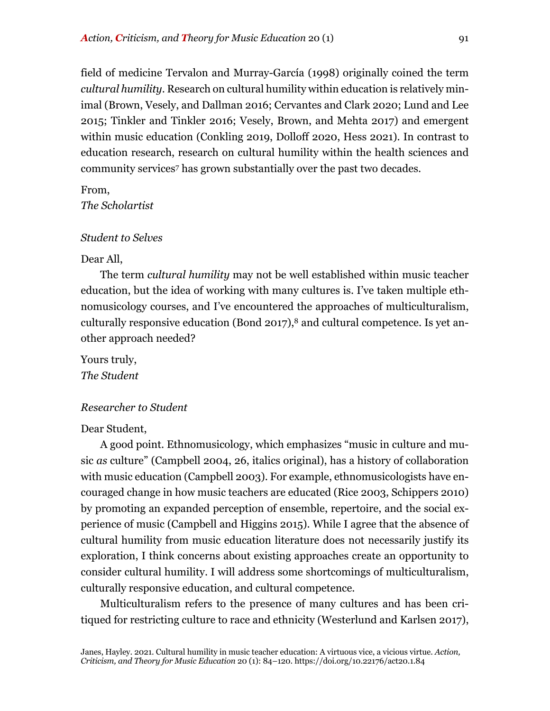field of medicine Tervalon and Murray-García (1998) originally coined the term *cultural humility*. Research on cultural humility within education is relatively minimal (Brown, Vesely, and Dallman 2016; Cervantes and Clark 2020; Lund and Lee 2015; Tinkler and Tinkler 2016; Vesely, Brown, and Mehta 2017) and emergent within music education (Conkling 2019, Dolloff 2020, Hess 2021). In contrast to education research, research on cultural humility within the health sciences and community services7 has grown substantially over the past two decades.

From,

*The Scholartist*

# *Student to Selves*

#### Dear All,

The term *cultural humility* may not be well established within music teacher education, but the idea of working with many cultures is. I've taken multiple ethnomusicology courses, and I've encountered the approaches of multiculturalism, culturally responsive education (Bond 2017), $8$  and cultural competence. Is yet another approach needed?

Yours truly, *The Student*

# *Researcher to Student*

#### Dear Student,

A good point. Ethnomusicology, which emphasizes "music in culture and music *as* culture" (Campbell 2004, 26, italics original), has a history of collaboration with music education (Campbell 2003). For example, ethnomusicologists have encouraged change in how music teachers are educated (Rice 2003, Schippers 2010) by promoting an expanded perception of ensemble, repertoire, and the social experience of music (Campbell and Higgins 2015). While I agree that the absence of cultural humility from music education literature does not necessarily justify its exploration, I think concerns about existing approaches create an opportunity to consider cultural humility. I will address some shortcomings of multiculturalism, culturally responsive education, and cultural competence.

Multiculturalism refers to the presence of many cultures and has been critiqued for restricting culture to race and ethnicity (Westerlund and Karlsen 2017),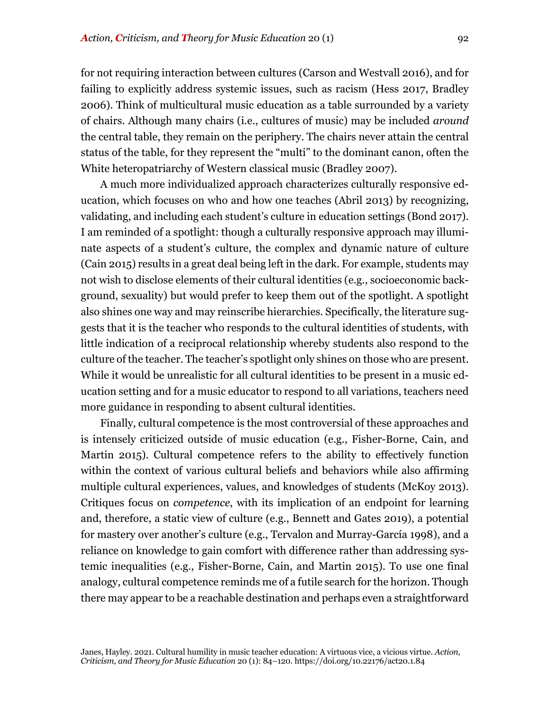for not requiring interaction between cultures (Carson and Westvall 2016), and for failing to explicitly address systemic issues, such as racism (Hess 2017, Bradley 2006). Think of multicultural music education as a table surrounded by a variety of chairs. Although many chairs (i.e., cultures of music) may be included *around* the central table, they remain on the periphery. The chairs never attain the central status of the table, for they represent the "multi" to the dominant canon, often the White heteropatriarchy of Western classical music (Bradley 2007).

A much more individualized approach characterizes culturally responsive education, which focuses on who and how one teaches (Abril 2013) by recognizing, validating, and including each student's culture in education settings (Bond 2017). I am reminded of a spotlight: though a culturally responsive approach may illuminate aspects of a student's culture, the complex and dynamic nature of culture (Cain 2015) results in a great deal being left in the dark. For example, students may not wish to disclose elements of their cultural identities (e.g., socioeconomic background, sexuality) but would prefer to keep them out of the spotlight. A spotlight also shines one way and may reinscribe hierarchies. Specifically, the literature suggests that it is the teacher who responds to the cultural identities of students, with little indication of a reciprocal relationship whereby students also respond to the culture of the teacher. The teacher's spotlight only shines on those who are present. While it would be unrealistic for all cultural identities to be present in a music education setting and for a music educator to respond to all variations, teachers need more guidance in responding to absent cultural identities.

Finally, cultural competence is the most controversial of these approaches and is intensely criticized outside of music education (e.g., Fisher-Borne, Cain, and Martin 2015). Cultural competence refers to the ability to effectively function within the context of various cultural beliefs and behaviors while also affirming multiple cultural experiences, values, and knowledges of students (McKoy 2013). Critiques focus on *competence*, with its implication of an endpoint for learning and, therefore, a static view of culture (e.g., Bennett and Gates 2019), a potential for mastery over another's culture (e.g., Tervalon and Murray-García 1998), and a reliance on knowledge to gain comfort with difference rather than addressing systemic inequalities (e.g., Fisher-Borne, Cain, and Martin 2015). To use one final analogy, cultural competence reminds me of a futile search for the horizon. Though there may appear to be a reachable destination and perhaps even a straightforward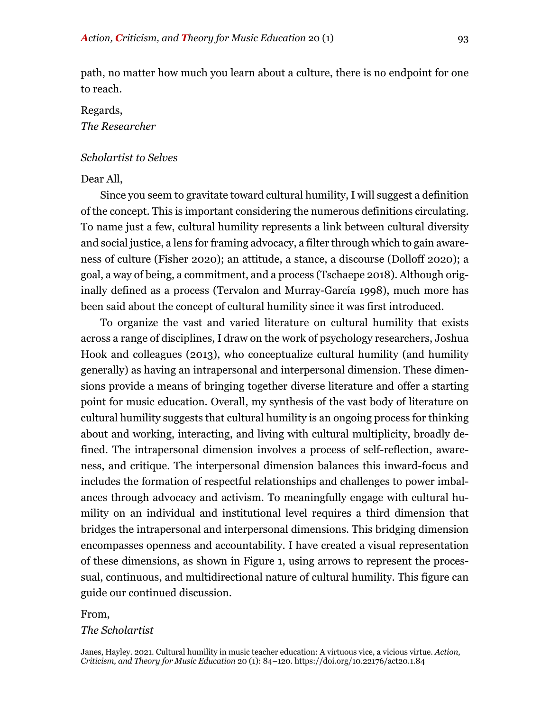path, no matter how much you learn about a culture, there is no endpoint for one to reach.

# Regards, *The Researcher*

# *Scholartist to Selves*

#### Dear All,

Since you seem to gravitate toward cultural humility, I will suggest a definition of the concept. This is important considering the numerous definitions circulating. To name just a few, cultural humility represents a link between cultural diversity and social justice, a lens for framing advocacy, a filter through which to gain awareness of culture (Fisher 2020); an attitude, a stance, a discourse (Dolloff 2020); a goal, a way of being, a commitment, and a process (Tschaepe 2018). Although originally defined as a process (Tervalon and Murray-García 1998), much more has been said about the concept of cultural humility since it was first introduced.

To organize the vast and varied literature on cultural humility that exists across a range of disciplines, I draw on the work of psychology researchers, Joshua Hook and colleagues (2013), who conceptualize cultural humility (and humility generally) as having an intrapersonal and interpersonal dimension. These dimensions provide a means of bringing together diverse literature and offer a starting point for music education. Overall, my synthesis of the vast body of literature on cultural humility suggests that cultural humility is an ongoing process for thinking about and working, interacting, and living with cultural multiplicity, broadly defined. The intrapersonal dimension involves a process of self-reflection, awareness, and critique. The interpersonal dimension balances this inward-focus and includes the formation of respectful relationships and challenges to power imbalances through advocacy and activism. To meaningfully engage with cultural humility on an individual and institutional level requires a third dimension that bridges the intrapersonal and interpersonal dimensions. This bridging dimension encompasses openness and accountability. I have created a visual representation of these dimensions, as shown in Figure 1, using arrows to represent the processual, continuous, and multidirectional nature of cultural humility. This figure can guide our continued discussion.

# From, *The Scholartist*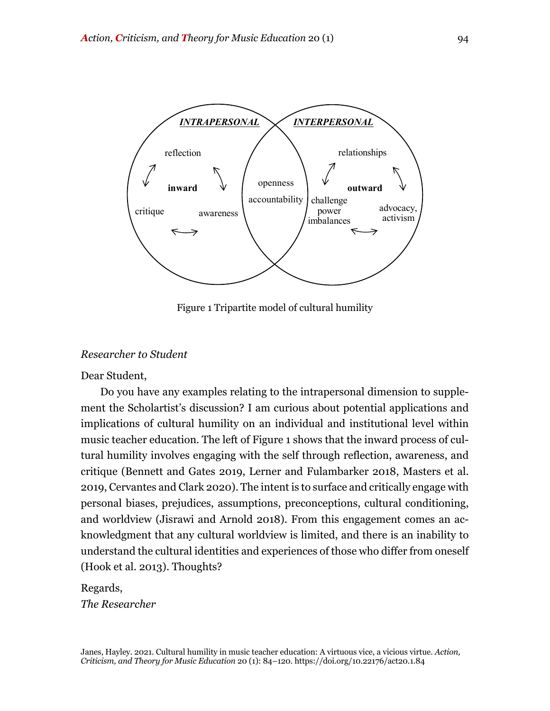

Figure 1 Tripartite model of cultural humility

#### *Researcher to Student*

Dear Student,

Do you have any examples relating to the intrapersonal dimension to supplement the Scholartist's discussion? I am curious about potential applications and implications of cultural humility on an individual and institutional level within music teacher education. The left of Figure 1 shows that the inward process of cultural humility involves engaging with the self through reflection, awareness, and critique (Bennett and Gates 2019, Lerner and Fulambarker 2018, Masters et al. 2019, Cervantes and Clark 2020). The intent is to surface and critically engage with personal biases, prejudices, assumptions, preconceptions, cultural conditioning, and worldview (Jisrawi and Arnold 2018). From this engagement comes an acknowledgment that any cultural worldview is limited, and there is an inability to understand the cultural identities and experiences of those who differ from oneself (Hook et al. 2013). Thoughts?

Regards, *The Researcher*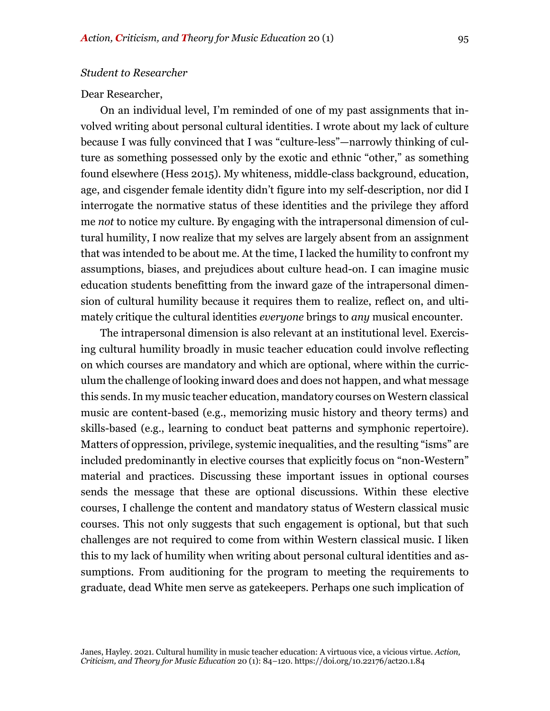#### *Student to Researcher*

#### Dear Researcher,

On an individual level, I'm reminded of one of my past assignments that involved writing about personal cultural identities. I wrote about my lack of culture because I was fully convinced that I was "culture-less"—narrowly thinking of culture as something possessed only by the exotic and ethnic "other," as something found elsewhere (Hess 2015). My whiteness, middle-class background, education, age, and cisgender female identity didn't figure into my self-description, nor did I interrogate the normative status of these identities and the privilege they afford me *not* to notice my culture. By engaging with the intrapersonal dimension of cultural humility, I now realize that my selves are largely absent from an assignment that was intended to be about me. At the time, I lacked the humility to confront my assumptions, biases, and prejudices about culture head-on. I can imagine music education students benefitting from the inward gaze of the intrapersonal dimension of cultural humility because it requires them to realize, reflect on, and ultimately critique the cultural identities *everyone* brings to *any* musical encounter.

The intrapersonal dimension is also relevant at an institutional level. Exercising cultural humility broadly in music teacher education could involve reflecting on which courses are mandatory and which are optional, where within the curriculum the challenge of looking inward does and does not happen, and what message this sends. In my music teacher education, mandatory courses on Western classical music are content-based (e.g., memorizing music history and theory terms) and skills-based (e.g., learning to conduct beat patterns and symphonic repertoire). Matters of oppression, privilege, systemic inequalities, and the resulting "isms" are included predominantly in elective courses that explicitly focus on "non-Western" material and practices. Discussing these important issues in optional courses sends the message that these are optional discussions. Within these elective courses, I challenge the content and mandatory status of Western classical music courses. This not only suggests that such engagement is optional, but that such challenges are not required to come from within Western classical music. I liken this to my lack of humility when writing about personal cultural identities and assumptions. From auditioning for the program to meeting the requirements to graduate, dead White men serve as gatekeepers. Perhaps one such implication of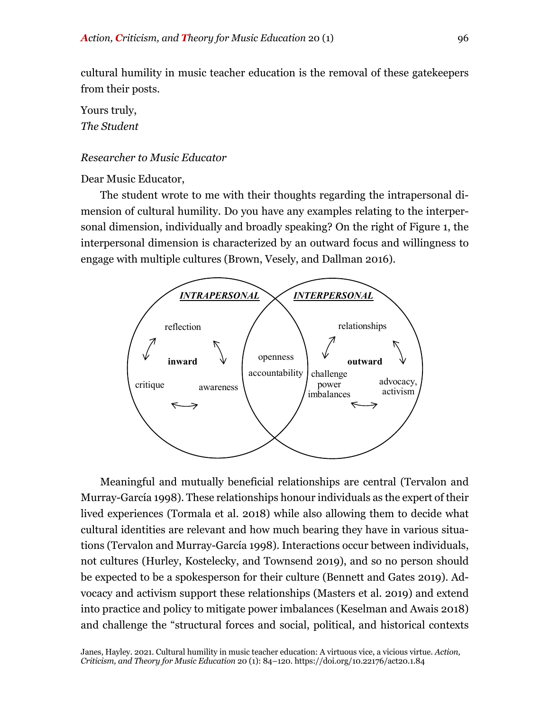cultural humility in music teacher education is the removal of these gatekeepers from their posts.

Yours truly, *The Student*

# *Researcher to Music Educator*

Dear Music Educator,

The student wrote to me with their thoughts regarding the intrapersonal dimension of cultural humility. Do you have any examples relating to the interpersonal dimension, individually and broadly speaking? On the right of Figure 1, the interpersonal dimension is characterized by an outward focus and willingness to engage with multiple cultures (Brown, Vesely, and Dallman 2016).



Meaningful and mutually beneficial relationships are central (Tervalon and Murray-García 1998). These relationships honour individuals as the expert of their lived experiences (Tormala et al. 2018) while also allowing them to decide what cultural identities are relevant and how much bearing they have in various situations (Tervalon and Murray-García 1998). Interactions occur between individuals, not cultures (Hurley, Kostelecky, and Townsend 2019), and so no person should be expected to be a spokesperson for their culture (Bennett and Gates 2019). Advocacy and activism support these relationships (Masters et al. 2019) and extend into practice and policy to mitigate power imbalances (Keselman and Awais 2018) and challenge the "structural forces and social, political, and historical contexts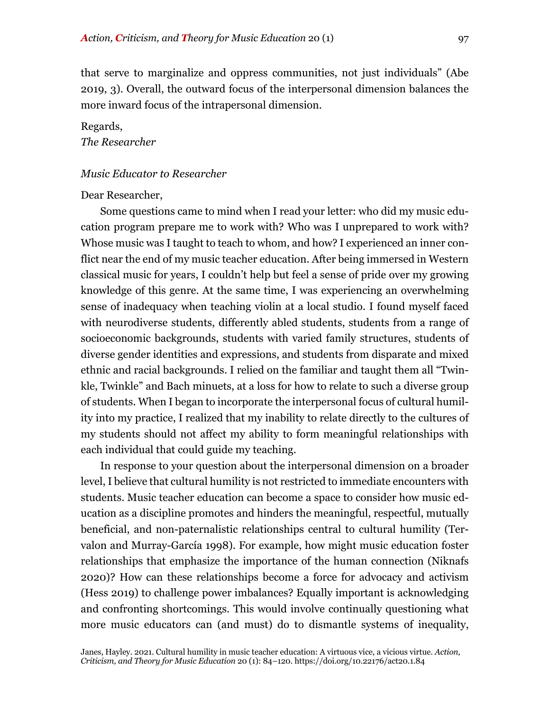that serve to marginalize and oppress communities, not just individuals" (Abe 2019, 3). Overall, the outward focus of the interpersonal dimension balances the more inward focus of the intrapersonal dimension.

# Regards, *The Researcher*

#### *Music Educator to Researcher*

#### Dear Researcher,

Some questions came to mind when I read your letter: who did my music education program prepare me to work with? Who was I unprepared to work with? Whose music was I taught to teach to whom, and how? I experienced an inner conflict near the end of my music teacher education. After being immersed in Western classical music for years, I couldn't help but feel a sense of pride over my growing knowledge of this genre. At the same time, I was experiencing an overwhelming sense of inadequacy when teaching violin at a local studio. I found myself faced with neurodiverse students, differently abled students, students from a range of socioeconomic backgrounds, students with varied family structures, students of diverse gender identities and expressions, and students from disparate and mixed ethnic and racial backgrounds. I relied on the familiar and taught them all "Twinkle, Twinkle" and Bach minuets, at a loss for how to relate to such a diverse group of students. When I began to incorporate the interpersonal focus of cultural humility into my practice, I realized that my inability to relate directly to the cultures of my students should not affect my ability to form meaningful relationships with each individual that could guide my teaching.

In response to your question about the interpersonal dimension on a broader level, I believe that cultural humility is not restricted to immediate encounters with students. Music teacher education can become a space to consider how music education as a discipline promotes and hinders the meaningful, respectful, mutually beneficial, and non-paternalistic relationships central to cultural humility (Tervalon and Murray-García 1998). For example, how might music education foster relationships that emphasize the importance of the human connection (Niknafs 2020)? How can these relationships become a force for advocacy and activism (Hess 2019) to challenge power imbalances? Equally important is acknowledging and confronting shortcomings. This would involve continually questioning what more music educators can (and must) do to dismantle systems of inequality,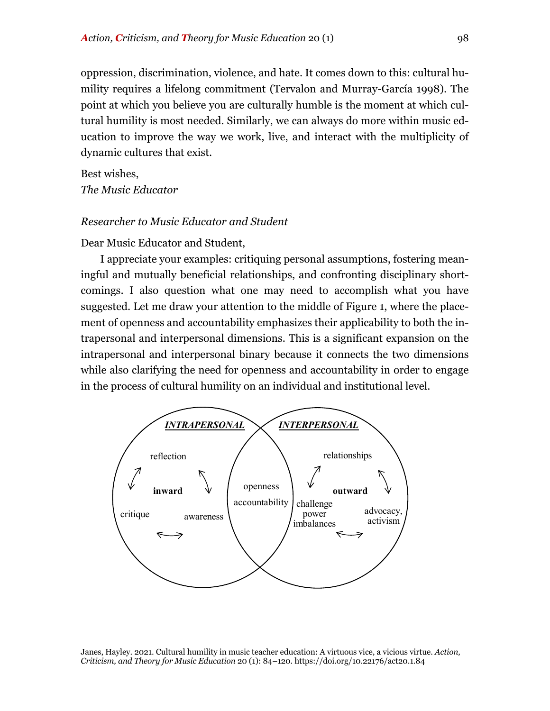oppression, discrimination, violence, and hate. It comes down to this: cultural humility requires a lifelong commitment (Tervalon and Murray-García 1998). The point at which you believe you are culturally humble is the moment at which cultural humility is most needed. Similarly, we can always do more within music education to improve the way we work, live, and interact with the multiplicity of dynamic cultures that exist.

Best wishes, *The Music Educator*

# *Researcher to Music Educator and Student*

Dear Music Educator and Student,

I appreciate your examples: critiquing personal assumptions, fostering meaningful and mutually beneficial relationships, and confronting disciplinary shortcomings. I also question what one may need to accomplish what you have suggested. Let me draw your attention to the middle of Figure 1, where the placement of openness and accountability emphasizes their applicability to both the intrapersonal and interpersonal dimensions. This is a significant expansion on the intrapersonal and interpersonal binary because it connects the two dimensions while also clarifying the need for openness and accountability in order to engage in the process of cultural humility on an individual and institutional level.

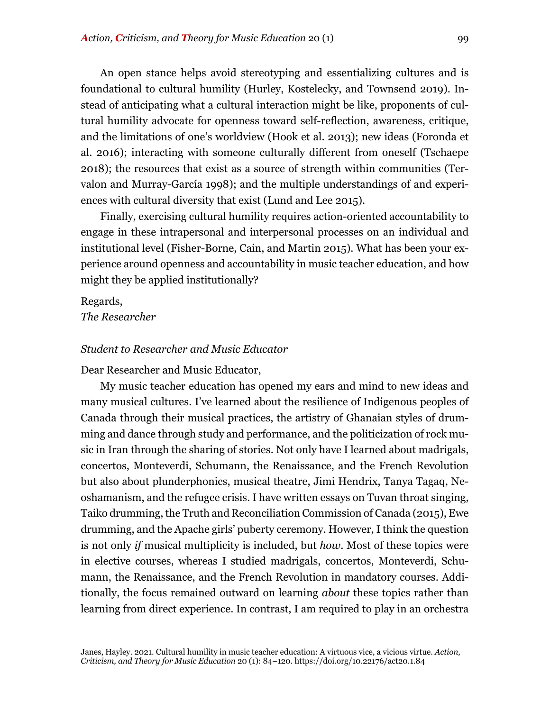An open stance helps avoid stereotyping and essentializing cultures and is foundational to cultural humility (Hurley, Kostelecky, and Townsend 2019). Instead of anticipating what a cultural interaction might be like, proponents of cultural humility advocate for openness toward self-reflection, awareness, critique, and the limitations of one's worldview (Hook et al. 2013); new ideas (Foronda et al. 2016); interacting with someone culturally different from oneself (Tschaepe 2018); the resources that exist as a source of strength within communities (Tervalon and Murray-García 1998); and the multiple understandings of and experiences with cultural diversity that exist (Lund and Lee 2015).

Finally, exercising cultural humility requires action-oriented accountability to engage in these intrapersonal and interpersonal processes on an individual and institutional level (Fisher-Borne, Cain, and Martin 2015). What has been your experience around openness and accountability in music teacher education, and how might they be applied institutionally?

Regards, *The Researcher*

#### *Student to Researcher and Music Educator*

Dear Researcher and Music Educator,

My music teacher education has opened my ears and mind to new ideas and many musical cultures. I've learned about the resilience of Indigenous peoples of Canada through their musical practices, the artistry of Ghanaian styles of drumming and dance through study and performance, and the politicization of rock music in Iran through the sharing of stories. Not only have I learned about madrigals, concertos, Monteverdi, Schumann, the Renaissance, and the French Revolution but also about plunderphonics, musical theatre, Jimi Hendrix, Tanya Tagaq, Neoshamanism, and the refugee crisis. I have written essays on Tuvan throat singing, Taiko drumming, the Truth and Reconciliation Commission of Canada (2015), Ewe drumming, and the Apache girls' puberty ceremony. However, I think the question is not only *if* musical multiplicity is included, but *how*. Most of these topics were in elective courses, whereas I studied madrigals, concertos, Monteverdi, Schumann, the Renaissance, and the French Revolution in mandatory courses. Additionally, the focus remained outward on learning *about* these topics rather than learning from direct experience. In contrast, I am required to play in an orchestra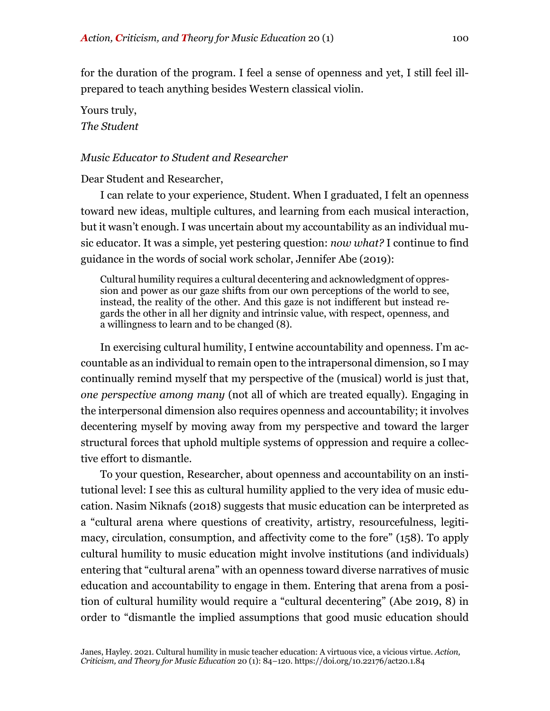for the duration of the program. I feel a sense of openness and yet, I still feel illprepared to teach anything besides Western classical violin.

# Yours truly, *The Student*

# *Music Educator to Student and Researcher*

# Dear Student and Researcher,

I can relate to your experience, Student. When I graduated, I felt an openness toward new ideas, multiple cultures, and learning from each musical interaction, but it wasn't enough. I was uncertain about my accountability as an individual music educator. It was a simple, yet pestering question: *now what?* I continue to find guidance in the words of social work scholar, Jennifer Abe (2019):

Cultural humility requires a cultural decentering and acknowledgment of oppression and power as our gaze shifts from our own perceptions of the world to see, instead, the reality of the other. And this gaze is not indifferent but instead regards the other in all her dignity and intrinsic value, with respect, openness, and a willingness to learn and to be changed (8).

In exercising cultural humility, I entwine accountability and openness. I'm accountable as an individual to remain open to the intrapersonal dimension, so I may continually remind myself that my perspective of the (musical) world is just that, *one perspective among many* (not all of which are treated equally). Engaging in the interpersonal dimension also requires openness and accountability; it involves decentering myself by moving away from my perspective and toward the larger structural forces that uphold multiple systems of oppression and require a collective effort to dismantle.

To your question, Researcher, about openness and accountability on an institutional level: I see this as cultural humility applied to the very idea of music education. Nasim Niknafs (2018) suggests that music education can be interpreted as a "cultural arena where questions of creativity, artistry, resourcefulness, legitimacy, circulation, consumption, and affectivity come to the fore" (158). To apply cultural humility to music education might involve institutions (and individuals) entering that "cultural arena" with an openness toward diverse narratives of music education and accountability to engage in them. Entering that arena from a position of cultural humility would require a "cultural decentering" (Abe 2019, 8) in order to "dismantle the implied assumptions that good music education should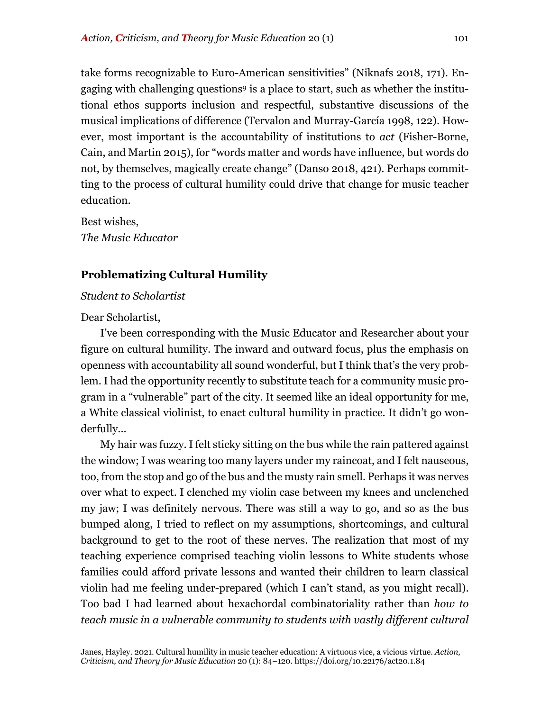take forms recognizable to Euro-American sensitivities" (Niknafs 2018, 171). Engaging with challenging questions9 is a place to start, such as whether the institutional ethos supports inclusion and respectful, substantive discussions of the musical implications of difference (Tervalon and Murray-García 1998, 122). However, most important is the accountability of institutions to *act* (Fisher-Borne, Cain, and Martin 2015), for "words matter and words have influence, but words do not, by themselves, magically create change" (Danso 2018, 421). Perhaps committing to the process of cultural humility could drive that change for music teacher education.

Best wishes, *The Music Educator* 

# **Problematizing Cultural Humility**

#### *Student to Scholartist*

#### Dear Scholartist,

I've been corresponding with the Music Educator and Researcher about your figure on cultural humility. The inward and outward focus, plus the emphasis on openness with accountability all sound wonderful, but I think that's the very problem. I had the opportunity recently to substitute teach for a community music program in a "vulnerable" part of the city. It seemed like an ideal opportunity for me, a White classical violinist, to enact cultural humility in practice. It didn't go wonderfully...

My hair was fuzzy. I felt sticky sitting on the bus while the rain pattered against the window; I was wearing too many layers under my raincoat, and I felt nauseous, too, from the stop and go of the bus and the musty rain smell. Perhaps it was nerves over what to expect. I clenched my violin case between my knees and unclenched my jaw; I was definitely nervous. There was still a way to go, and so as the bus bumped along, I tried to reflect on my assumptions, shortcomings, and cultural background to get to the root of these nerves. The realization that most of my teaching experience comprised teaching violin lessons to White students whose families could afford private lessons and wanted their children to learn classical violin had me feeling under-prepared (which I can't stand, as you might recall). Too bad I had learned about hexachordal combinatoriality rather than *how to teach music in a vulnerable community to students with vastly different cultural*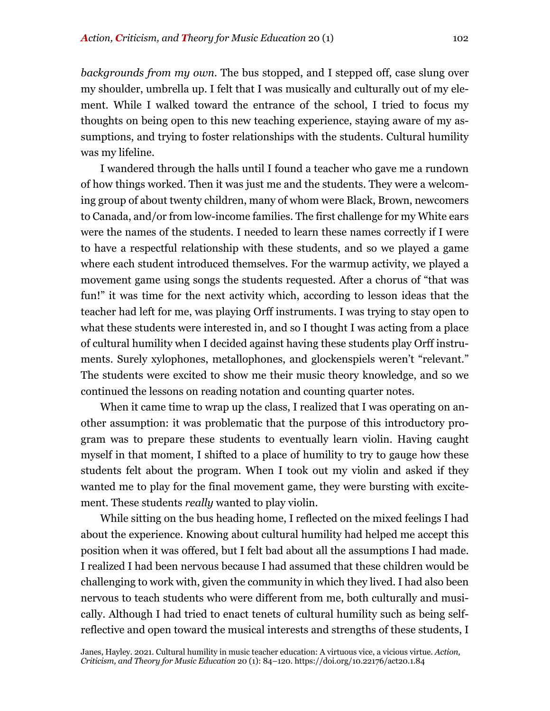*backgrounds from my own*. The bus stopped, and I stepped off, case slung over my shoulder, umbrella up. I felt that I was musically and culturally out of my element. While I walked toward the entrance of the school, I tried to focus my thoughts on being open to this new teaching experience, staying aware of my assumptions, and trying to foster relationships with the students. Cultural humility was my lifeline.

I wandered through the halls until I found a teacher who gave me a rundown of how things worked. Then it was just me and the students. They were a welcoming group of about twenty children, many of whom were Black, Brown, newcomers to Canada, and/or from low-income families. The first challenge for my White ears were the names of the students. I needed to learn these names correctly if I were to have a respectful relationship with these students, and so we played a game where each student introduced themselves. For the warmup activity, we played a movement game using songs the students requested. After a chorus of "that was fun!" it was time for the next activity which, according to lesson ideas that the teacher had left for me, was playing Orff instruments. I was trying to stay open to what these students were interested in, and so I thought I was acting from a place of cultural humility when I decided against having these students play Orff instruments. Surely xylophones, metallophones, and glockenspiels weren't "relevant." The students were excited to show me their music theory knowledge, and so we continued the lessons on reading notation and counting quarter notes.

When it came time to wrap up the class, I realized that I was operating on another assumption: it was problematic that the purpose of this introductory program was to prepare these students to eventually learn violin. Having caught myself in that moment, I shifted to a place of humility to try to gauge how these students felt about the program. When I took out my violin and asked if they wanted me to play for the final movement game, they were bursting with excitement. These students *really* wanted to play violin.

While sitting on the bus heading home, I reflected on the mixed feelings I had about the experience. Knowing about cultural humility had helped me accept this position when it was offered, but I felt bad about all the assumptions I had made. I realized I had been nervous because I had assumed that these children would be challenging to work with, given the community in which they lived. I had also been nervous to teach students who were different from me, both culturally and musically. Although I had tried to enact tenets of cultural humility such as being selfreflective and open toward the musical interests and strengths of these students, I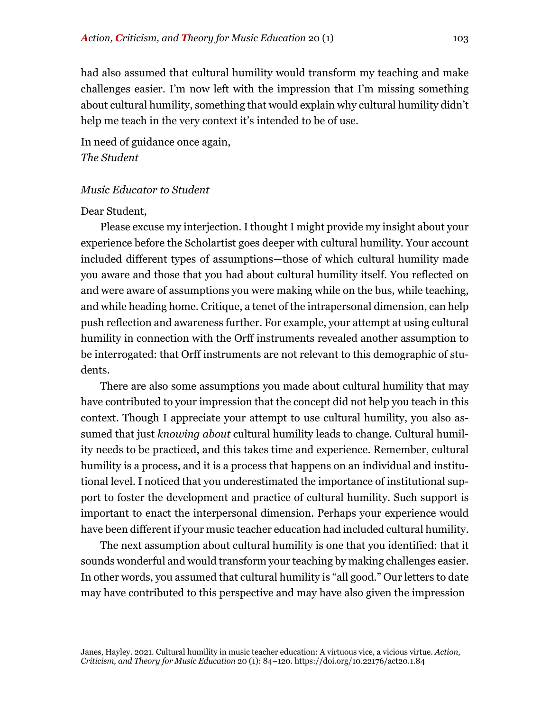had also assumed that cultural humility would transform my teaching and make challenges easier. I'm now left with the impression that I'm missing something about cultural humility, something that would explain why cultural humility didn't help me teach in the very context it's intended to be of use.

In need of guidance once again, *The Student*

#### *Music Educator to Student*

#### Dear Student,

Please excuse my interjection. I thought I might provide my insight about your experience before the Scholartist goes deeper with cultural humility. Your account included different types of assumptions—those of which cultural humility made you aware and those that you had about cultural humility itself. You reflected on and were aware of assumptions you were making while on the bus, while teaching, and while heading home. Critique, a tenet of the intrapersonal dimension, can help push reflection and awareness further. For example, your attempt at using cultural humility in connection with the Orff instruments revealed another assumption to be interrogated: that Orff instruments are not relevant to this demographic of students.

There are also some assumptions you made about cultural humility that may have contributed to your impression that the concept did not help you teach in this context. Though I appreciate your attempt to use cultural humility, you also assumed that just *knowing about* cultural humility leads to change. Cultural humility needs to be practiced, and this takes time and experience. Remember, cultural humility is a process, and it is a process that happens on an individual and institutional level. I noticed that you underestimated the importance of institutional support to foster the development and practice of cultural humility. Such support is important to enact the interpersonal dimension. Perhaps your experience would have been different if your music teacher education had included cultural humility.

The next assumption about cultural humility is one that you identified: that it sounds wonderful and would transform your teaching by making challenges easier. In other words, you assumed that cultural humility is "all good." Our letters to date may have contributed to this perspective and may have also given the impression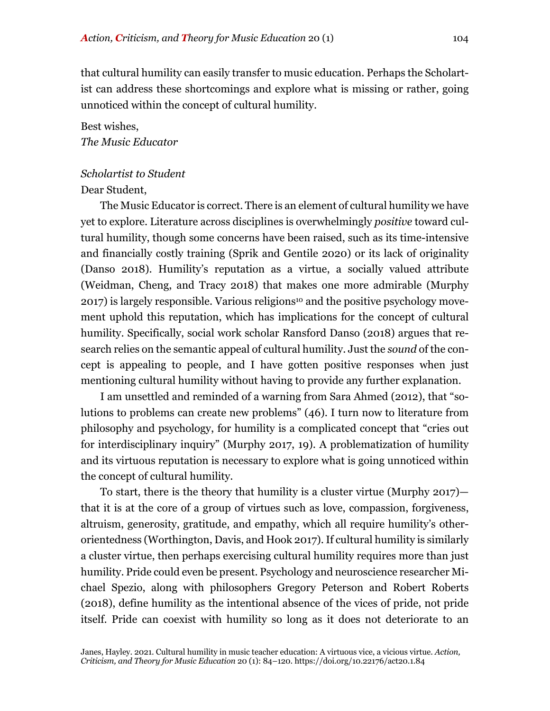that cultural humility can easily transfer to music education. Perhaps the Scholartist can address these shortcomings and explore what is missing or rather, going unnoticed within the concept of cultural humility.

# Best wishes, *The Music Educator*

# *Scholartist to Student*

# Dear Student,

The Music Educator is correct. There is an element of cultural humility we have yet to explore. Literature across disciplines is overwhelmingly *positive* toward cultural humility, though some concerns have been raised, such as its time-intensive and financially costly training (Sprik and Gentile 2020) or its lack of originality (Danso 2018). Humility's reputation as a virtue, a socially valued attribute (Weidman, Cheng, and Tracy 2018) that makes one more admirable (Murphy 2017) is largely responsible. Various religions<sup>10</sup> and the positive psychology movement uphold this reputation, which has implications for the concept of cultural humility. Specifically, social work scholar Ransford Danso (2018) argues that research relies on the semantic appeal of cultural humility. Just the *sound* of the concept is appealing to people, and I have gotten positive responses when just mentioning cultural humility without having to provide any further explanation.

I am unsettled and reminded of a warning from Sara Ahmed (2012), that "solutions to problems can create new problems" (46). I turn now to literature from philosophy and psychology, for humility is a complicated concept that "cries out for interdisciplinary inquiry" (Murphy 2017, 19). A problematization of humility and its virtuous reputation is necessary to explore what is going unnoticed within the concept of cultural humility.

To start, there is the theory that humility is a cluster virtue (Murphy 2017) that it is at the core of a group of virtues such as love, compassion, forgiveness, altruism, generosity, gratitude, and empathy, which all require humility's otherorientedness (Worthington, Davis, and Hook 2017). If cultural humility is similarly a cluster virtue, then perhaps exercising cultural humility requires more than just humility. Pride could even be present. Psychology and neuroscience researcher Michael Spezio, along with philosophers Gregory Peterson and Robert Roberts (2018), define humility as the intentional absence of the vices of pride, not pride itself. Pride can coexist with humility so long as it does not deteriorate to an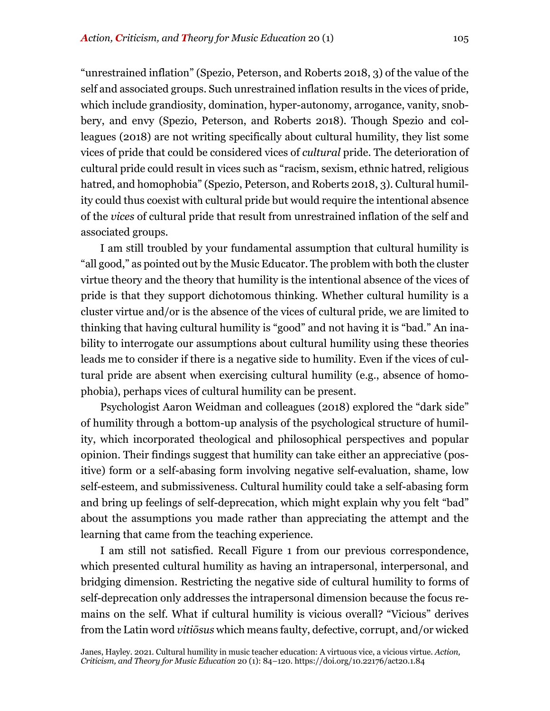"unrestrained inflation" (Spezio, Peterson, and Roberts 2018, 3) of the value of the self and associated groups. Such unrestrained inflation results in the vices of pride, which include grandiosity, domination, hyper-autonomy, arrogance, vanity, snobbery, and envy (Spezio, Peterson, and Roberts 2018). Though Spezio and colleagues (2018) are not writing specifically about cultural humility, they list some vices of pride that could be considered vices of *cultural* pride. The deterioration of cultural pride could result in vices such as "racism, sexism, ethnic hatred, religious hatred, and homophobia" (Spezio, Peterson, and Roberts 2018, 3). Cultural humility could thus coexist with cultural pride but would require the intentional absence of the *vices* of cultural pride that result from unrestrained inflation of the self and associated groups.

I am still troubled by your fundamental assumption that cultural humility is "all good," as pointed out by the Music Educator. The problem with both the cluster virtue theory and the theory that humility is the intentional absence of the vices of pride is that they support dichotomous thinking. Whether cultural humility is a cluster virtue and/or is the absence of the vices of cultural pride, we are limited to thinking that having cultural humility is "good" and not having it is "bad." An inability to interrogate our assumptions about cultural humility using these theories leads me to consider if there is a negative side to humility. Even if the vices of cultural pride are absent when exercising cultural humility (e.g., absence of homophobia), perhaps vices of cultural humility can be present.

Psychologist Aaron Weidman and colleagues (2018) explored the "dark side" of humility through a bottom-up analysis of the psychological structure of humility, which incorporated theological and philosophical perspectives and popular opinion. Their findings suggest that humility can take either an appreciative (positive) form or a self-abasing form involving negative self-evaluation, shame, low self-esteem, and submissiveness. Cultural humility could take a self-abasing form and bring up feelings of self-deprecation, which might explain why you felt "bad" about the assumptions you made rather than appreciating the attempt and the learning that came from the teaching experience.

I am still not satisfied. Recall Figure 1 from our previous correspondence, which presented cultural humility as having an intrapersonal, interpersonal, and bridging dimension. Restricting the negative side of cultural humility to forms of self-deprecation only addresses the intrapersonal dimension because the focus remains on the self. What if cultural humility is vicious overall? "Vicious" derives from the Latin word *vitiōsus* which means faulty, defective, corrupt, and/or wicked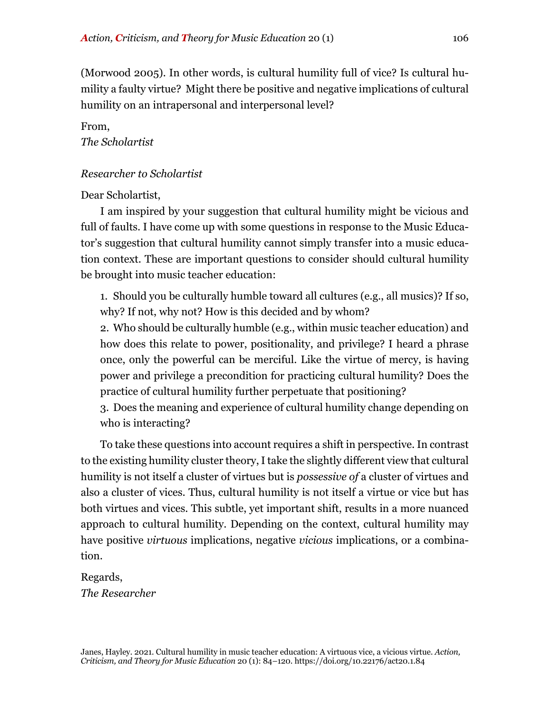(Morwood 2005). In other words, is cultural humility full of vice? Is cultural humility a faulty virtue? Might there be positive and negative implications of cultural humility on an intrapersonal and interpersonal level?

From, *The Scholartist*

# *Researcher to Scholartist*

Dear Scholartist,

I am inspired by your suggestion that cultural humility might be vicious and full of faults. I have come up with some questions in response to the Music Educator's suggestion that cultural humility cannot simply transfer into a music education context. These are important questions to consider should cultural humility be brought into music teacher education:

1. Should you be culturally humble toward all cultures (e.g., all musics)? If so, why? If not, why not? How is this decided and by whom?

2. Who should be culturally humble (e.g., within music teacher education) and how does this relate to power, positionality, and privilege? I heard a phrase once, only the powerful can be merciful. Like the virtue of mercy, is having power and privilege a precondition for practicing cultural humility? Does the practice of cultural humility further perpetuate that positioning?

3. Does the meaning and experience of cultural humility change depending on who is interacting?

To take these questions into account requires a shift in perspective. In contrast to the existing humility cluster theory, I take the slightly different view that cultural humility is not itself a cluster of virtues but is *possessive of* a cluster of virtues and also a cluster of vices. Thus, cultural humility is not itself a virtue or vice but has both virtues and vices. This subtle, yet important shift, results in a more nuanced approach to cultural humility. Depending on the context, cultural humility may have positive *virtuous* implications, negative *vicious* implications, or a combination.

Regards, *The Researcher*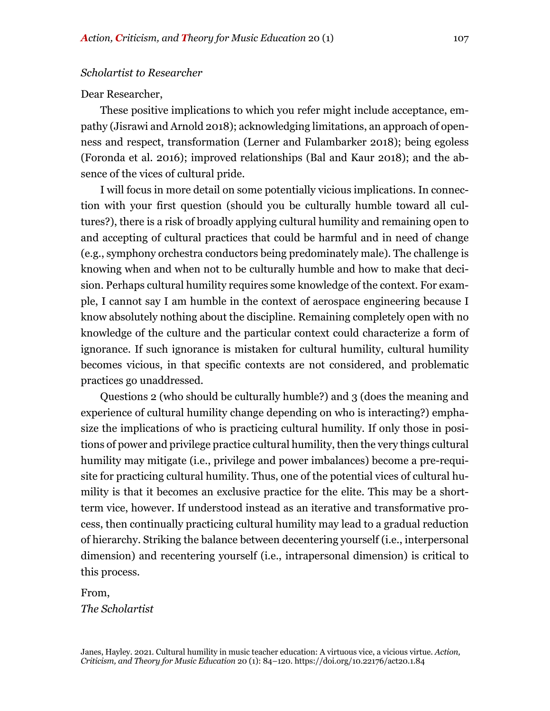#### *Scholartist to Researcher*

#### Dear Researcher,

These positive implications to which you refer might include acceptance, empathy (Jisrawi and Arnold 2018); acknowledging limitations, an approach of openness and respect, transformation (Lerner and Fulambarker 2018); being egoless (Foronda et al. 2016); improved relationships (Bal and Kaur 2018); and the absence of the vices of cultural pride.

I will focus in more detail on some potentially vicious implications. In connection with your first question (should you be culturally humble toward all cultures?), there is a risk of broadly applying cultural humility and remaining open to and accepting of cultural practices that could be harmful and in need of change (e.g., symphony orchestra conductors being predominately male). The challenge is knowing when and when not to be culturally humble and how to make that decision. Perhaps cultural humility requires some knowledge of the context. For example, I cannot say I am humble in the context of aerospace engineering because I know absolutely nothing about the discipline. Remaining completely open with no knowledge of the culture and the particular context could characterize a form of ignorance. If such ignorance is mistaken for cultural humility, cultural humility becomes vicious, in that specific contexts are not considered, and problematic practices go unaddressed.

Questions 2 (who should be culturally humble?) and 3 (does the meaning and experience of cultural humility change depending on who is interacting?) emphasize the implications of who is practicing cultural humility. If only those in positions of power and privilege practice cultural humility, then the very things cultural humility may mitigate (i.e., privilege and power imbalances) become a pre-requisite for practicing cultural humility. Thus, one of the potential vices of cultural humility is that it becomes an exclusive practice for the elite. This may be a shortterm vice, however. If understood instead as an iterative and transformative process, then continually practicing cultural humility may lead to a gradual reduction of hierarchy. Striking the balance between decentering yourself (i.e., interpersonal dimension) and recentering yourself (i.e., intrapersonal dimension) is critical to this process.

From, *The Scholartist*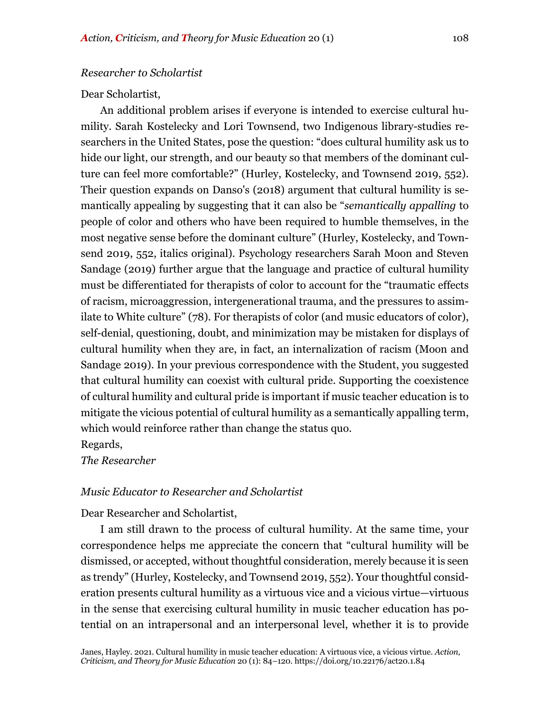#### *Researcher to Scholartist*

#### Dear Scholartist,

An additional problem arises if everyone is intended to exercise cultural humility. Sarah Kostelecky and Lori Townsend, two Indigenous library-studies researchers in the United States, pose the question: "does cultural humility ask us to hide our light, our strength, and our beauty so that members of the dominant culture can feel more comfortable?" (Hurley, Kostelecky, and Townsend 2019, 552). Their question expands on Danso's (2018) argument that cultural humility is semantically appealing by suggesting that it can also be "*semantically appalling* to people of color and others who have been required to humble themselves, in the most negative sense before the dominant culture" (Hurley, Kostelecky, and Townsend 2019, 552, italics original). Psychology researchers Sarah Moon and Steven Sandage (2019) further argue that the language and practice of cultural humility must be differentiated for therapists of color to account for the "traumatic effects of racism, microaggression, intergenerational trauma, and the pressures to assimilate to White culture" (78). For therapists of color (and music educators of color), self-denial, questioning, doubt, and minimization may be mistaken for displays of cultural humility when they are, in fact, an internalization of racism (Moon and Sandage 2019). In your previous correspondence with the Student, you suggested that cultural humility can coexist with cultural pride. Supporting the coexistence of cultural humility and cultural pride is important if music teacher education is to mitigate the vicious potential of cultural humility as a semantically appalling term, which would reinforce rather than change the status quo.

Regards,

*The Researcher*

### *Music Educator to Researcher and Scholartist*

Dear Researcher and Scholartist,

I am still drawn to the process of cultural humility. At the same time, your correspondence helps me appreciate the concern that "cultural humility will be dismissed, or accepted, without thoughtful consideration, merely because it is seen as trendy" (Hurley, Kostelecky, and Townsend 2019, 552). Your thoughtful consideration presents cultural humility as a virtuous vice and a vicious virtue—virtuous in the sense that exercising cultural humility in music teacher education has potential on an intrapersonal and an interpersonal level, whether it is to provide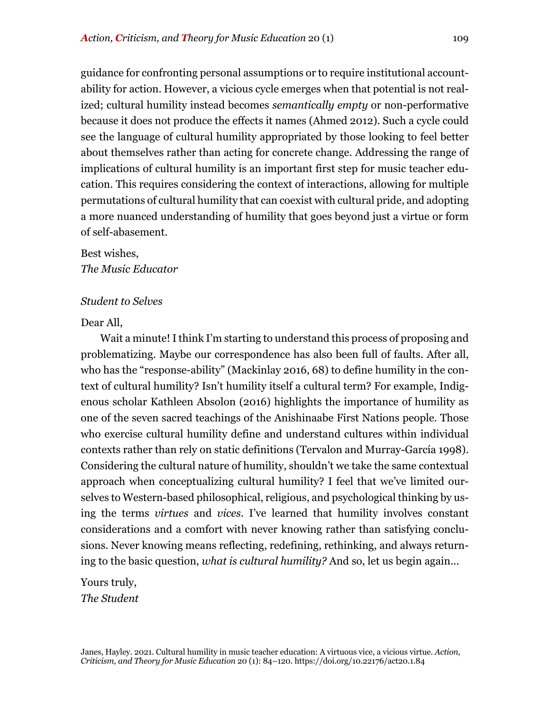guidance for confronting personal assumptions or to require institutional accountability for action. However, a vicious cycle emerges when that potential is not realized; cultural humility instead becomes *semantically empty* or non-performative because it does not produce the effects it names (Ahmed 2012). Such a cycle could see the language of cultural humility appropriated by those looking to feel better about themselves rather than acting for concrete change. Addressing the range of implications of cultural humility is an important first step for music teacher education. This requires considering the context of interactions, allowing for multiple permutations of cultural humility that can coexist with cultural pride, and adopting a more nuanced understanding of humility that goes beyond just a virtue or form of self-abasement.

# Best wishes, *The Music Educator*

# *Student to Selves*

# Dear All,

Wait a minute! I think I'm starting to understand this process of proposing and problematizing. Maybe our correspondence has also been full of faults. After all, who has the "response-ability" (Mackinlay 2016, 68) to define humility in the context of cultural humility? Isn't humility itself a cultural term? For example, Indigenous scholar Kathleen Absolon (2016) highlights the importance of humility as one of the seven sacred teachings of the Anishinaabe First Nations people. Those who exercise cultural humility define and understand cultures within individual contexts rather than rely on static definitions (Tervalon and Murray-García 1998). Considering the cultural nature of humility, shouldn't we take the same contextual approach when conceptualizing cultural humility? I feel that we've limited ourselves to Western-based philosophical, religious, and psychological thinking by using the terms *virtues* and *vices*. I've learned that humility involves constant considerations and a comfort with never knowing rather than satisfying conclusions. Never knowing means reflecting, redefining, rethinking, and always returning to the basic question, *what is cultural humility?* And so, let us begin again...

Yours truly, *The Student*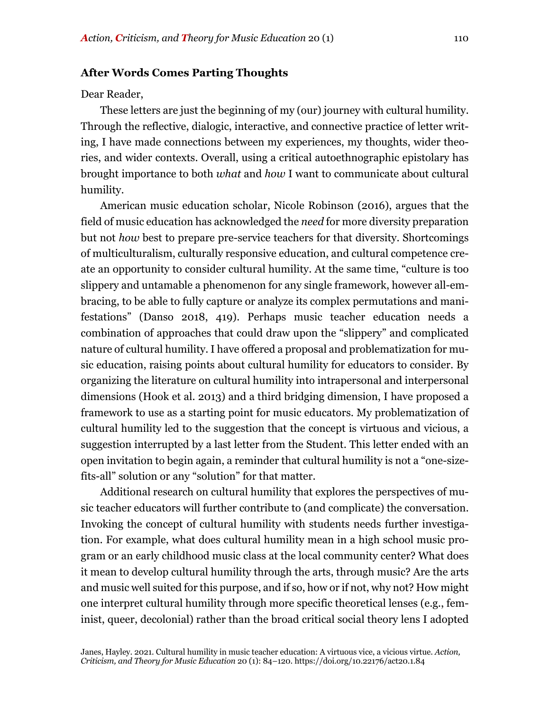#### **After Words Comes Parting Thoughts**

#### Dear Reader,

These letters are just the beginning of my (our) journey with cultural humility. Through the reflective, dialogic, interactive, and connective practice of letter writing, I have made connections between my experiences, my thoughts, wider theories, and wider contexts. Overall, using a critical autoethnographic epistolary has brought importance to both *what* and *how* I want to communicate about cultural humility.

American music education scholar, Nicole Robinson (2016), argues that the field of music education has acknowledged the *need* for more diversity preparation but not *how* best to prepare pre-service teachers for that diversity. Shortcomings of multiculturalism, culturally responsive education, and cultural competence create an opportunity to consider cultural humility. At the same time, "culture is too slippery and untamable a phenomenon for any single framework, however all-embracing, to be able to fully capture or analyze its complex permutations and manifestations" (Danso 2018, 419). Perhaps music teacher education needs a combination of approaches that could draw upon the "slippery" and complicated nature of cultural humility. I have offered a proposal and problematization for music education, raising points about cultural humility for educators to consider. By organizing the literature on cultural humility into intrapersonal and interpersonal dimensions (Hook et al. 2013) and a third bridging dimension, I have proposed a framework to use as a starting point for music educators. My problematization of cultural humility led to the suggestion that the concept is virtuous and vicious, a suggestion interrupted by a last letter from the Student. This letter ended with an open invitation to begin again, a reminder that cultural humility is not a "one-sizefits-all" solution or any "solution" for that matter.

Additional research on cultural humility that explores the perspectives of music teacher educators will further contribute to (and complicate) the conversation. Invoking the concept of cultural humility with students needs further investigation. For example, what does cultural humility mean in a high school music program or an early childhood music class at the local community center? What does it mean to develop cultural humility through the arts, through music? Are the arts and music well suited for this purpose, and if so, how or if not, why not? How might one interpret cultural humility through more specific theoretical lenses (e.g., feminist, queer, decolonial) rather than the broad critical social theory lens I adopted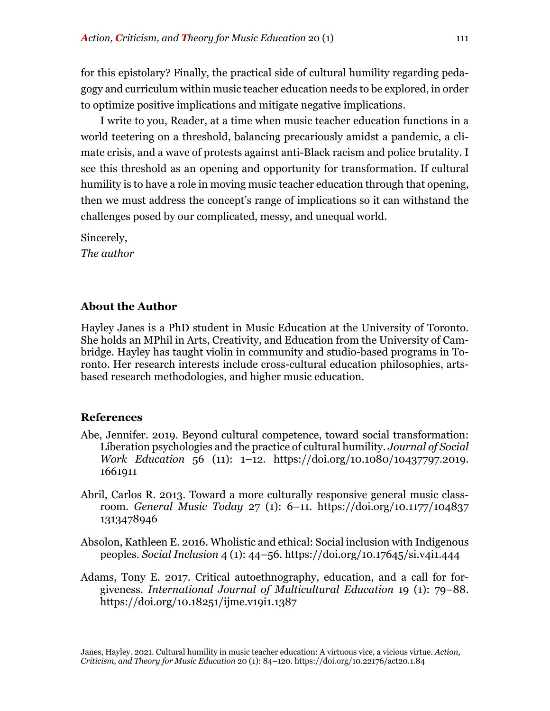for this epistolary? Finally, the practical side of cultural humility regarding pedagogy and curriculum within music teacher education needs to be explored, in order to optimize positive implications and mitigate negative implications.

I write to you, Reader, at a time when music teacher education functions in a world teetering on a threshold, balancing precariously amidst a pandemic, a climate crisis, and a wave of protests against anti-Black racism and police brutality. I see this threshold as an opening and opportunity for transformation. If cultural humility is to have a role in moving music teacher education through that opening, then we must address the concept's range of implications so it can withstand the challenges posed by our complicated, messy, and unequal world.

Sincerely, *The author*

# **About the Author**

Hayley Janes is a PhD student in Music Education at the University of Toronto. She holds an MPhil in Arts, Creativity, and Education from the University of Cambridge. Hayley has taught violin in community and studio-based programs in Toronto. Her research interests include cross-cultural education philosophies, artsbased research methodologies, and higher music education.

# **References**

- Abe, Jennifer. 2019. Beyond cultural competence, toward social transformation: Liberation psychologies and the practice of cultural humility. *Journal of Social Work Education* 56 (11): 1–12. https://doi.org/10.1080/10437797.2019. 1661911
- Abril, Carlos R. 2013. Toward a more culturally responsive general music classroom. *General Music Today* 27 (1): 6–11. https://doi.org/10.1177/104837 1313478946
- Absolon, Kathleen E. 2016. Wholistic and ethical: Social inclusion with Indigenous peoples. *Social Inclusion* 4 (1): 44–56. https://doi.org/10.17645/si.v4i1.444
- Adams, Tony E. 2017. Critical autoethnography, education, and a call for forgiveness. *International Journal of Multicultural Education* 19 (1): 79–88. https://doi.org/10.18251/ijme.v19i1.1387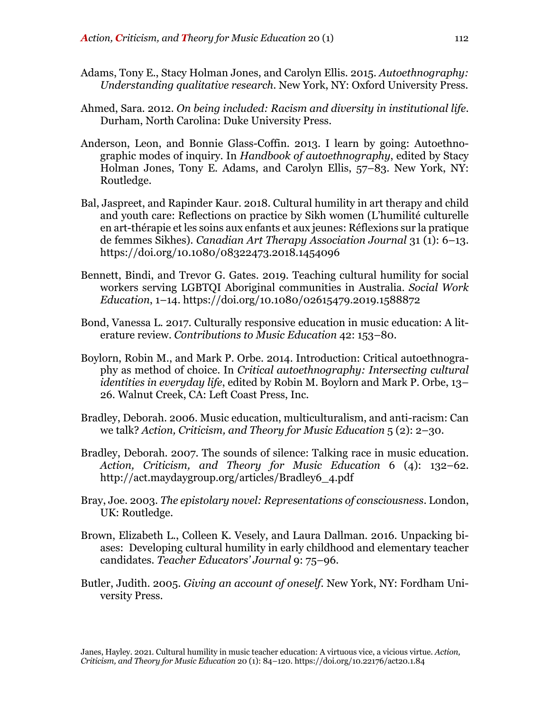- Adams, Tony E., Stacy Holman Jones, and Carolyn Ellis. 2015. *Autoethnography: Understanding qualitative research*. New York, NY: Oxford University Press.
- Ahmed, Sara. 2012. *On being included: Racism and diversity in institutional life*. Durham, North Carolina: Duke University Press.
- Anderson, Leon, and Bonnie Glass-Coffin. 2013. I learn by going: Autoethnographic modes of inquiry. In *Handbook of autoethnography*, edited by Stacy Holman Jones, Tony E. Adams, and Carolyn Ellis, 57–83. New York, NY: Routledge.
- Bal, Jaspreet, and Rapinder Kaur. 2018. Cultural humility in art therapy and child and youth care: Reflections on practice by Sikh women (L'humilité culturelle en art-thérapie et les soins aux enfants et aux jeunes: Réflexions sur la pratique de femmes Sikhes). *Canadian Art Therapy Association Journal* 31 (1): 6–13. https://doi.org/10.1080/08322473.2018.1454096
- Bennett, Bindi, and Trevor G. Gates. 2019. Teaching cultural humility for social workers serving LGBTQI Aboriginal communities in Australia. *Social Work Education*, 1–14. https://doi.org/10.1080/02615479.2019.1588872
- Bond, Vanessa L. 2017. Culturally responsive education in music education: A literature review. *Contributions to Music Education* 42: 153–80.
- Boylorn, Robin M., and Mark P. Orbe. 2014. Introduction: Critical autoethnography as method of choice. In *Critical autoethnography: Intersecting cultural identities in everyday life*, edited by Robin M. Boylorn and Mark P. Orbe, 13– 26. Walnut Creek, CA: Left Coast Press, Inc.
- Bradley, Deborah. 2006. Music education, multiculturalism, and anti-racism: Can we talk? *Action, Criticism, and Theory for Music Education* 5 (2): 2–30.
- Bradley, Deborah. 2007. The sounds of silence: Talking race in music education. *Action, Criticism, and Theory for Music Education* 6 (4): 132–62. http://act.maydaygroup.org/articles/Bradley6\_4.pdf
- Bray, Joe. 2003. *The epistolary novel: Representations of consciousness*. London, UK: Routledge.
- Brown, Elizabeth L., Colleen K. Vesely, and Laura Dallman. 2016. Unpacking biases: Developing cultural humility in early childhood and elementary teacher candidates. *Teacher Educators' Journal* 9: 75–96.
- Butler, Judith. 2005. *Giving an account of oneself*. New York, NY: Fordham University Press.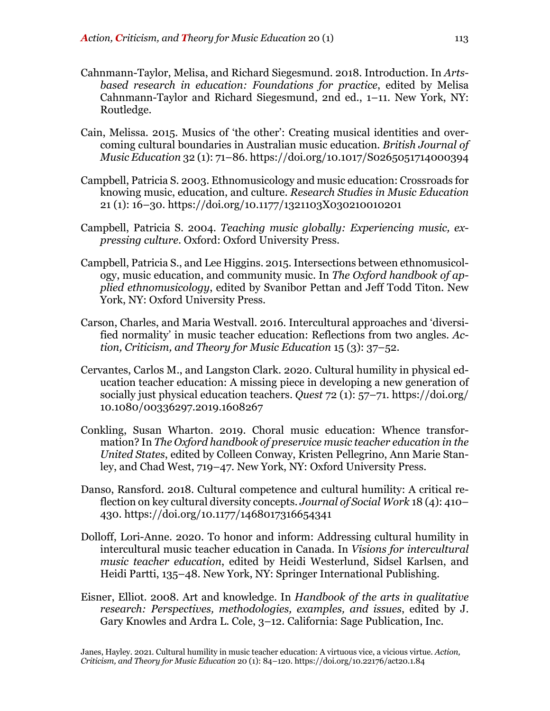- Cahnmann-Taylor, Melisa, and Richard Siegesmund. 2018. Introduction. In *Artsbased research in education: Foundations for practice*, edited by Melisa Cahnmann-Taylor and Richard Siegesmund, 2nd ed., 1–11. New York, NY: Routledge.
- Cain, Melissa. 2015. Musics of 'the other': Creating musical identities and overcoming cultural boundaries in Australian music education. *British Journal of Music Education* 32 (1): 71–86. https://doi.org/10.1017/S0265051714000394
- Campbell, Patricia S. 2003. Ethnomusicology and music education: Crossroads for knowing music, education, and culture. *Research Studies in Music Education* 21 (1): 16–30. https://doi.org/10.1177/1321103X030210010201
- Campbell, Patricia S. 2004. *Teaching music globally: Experiencing music, expressing culture*. Oxford: Oxford University Press.
- Campbell, Patricia S., and Lee Higgins. 2015. Intersections between ethnomusicology, music education, and community music. In *The Oxford handbook of applied ethnomusicology*, edited by Svanibor Pettan and Jeff Todd Titon. New York, NY: Oxford University Press.
- Carson, Charles, and Maria Westvall. 2016. Intercultural approaches and 'diversified normality' in music teacher education: Reflections from two angles. *Action, Criticism, and Theory for Music Education* 15 (3): 37–52.
- Cervantes, Carlos M., and Langston Clark. 2020. Cultural humility in physical education teacher education: A missing piece in developing a new generation of socially just physical education teachers. *Quest* 72 (1): 57–71. https://doi.org/ 10.1080/00336297.2019.1608267
- Conkling, Susan Wharton. 2019. Choral music education: Whence transformation? In *The Oxford handbook of preservice music teacher education in the United States*, edited by Colleen Conway, Kristen Pellegrino, Ann Marie Stanley, and Chad West, 719–47. New York, NY: Oxford University Press.
- Danso, Ransford. 2018. Cultural competence and cultural humility: A critical reflection on key cultural diversity concepts. *Journal of Social Work* 18 (4): 410– 430. https://doi.org/10.1177/1468017316654341
- Dolloff, Lori-Anne. 2020. To honor and inform: Addressing cultural humility in intercultural music teacher education in Canada. In *Visions for intercultural music teacher education*, edited by Heidi Westerlund, Sidsel Karlsen, and Heidi Partti, 135–48. New York, NY: Springer International Publishing.
- Eisner, Elliot. 2008. Art and knowledge. In *Handbook of the arts in qualitative research: Perspectives, methodologies, examples, and issues*, edited by J. Gary Knowles and Ardra L. Cole, 3–12. California: Sage Publication, Inc.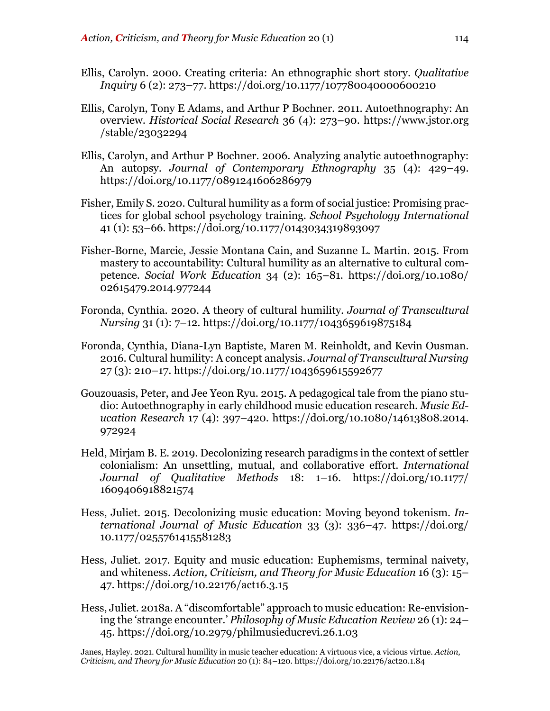- Ellis, Carolyn. 2000. Creating criteria: An ethnographic short story. *Qualitative Inquiry* 6 (2): 273–77. https://doi.org/10.1177/107780040000600210
- Ellis, Carolyn, Tony E Adams, and Arthur P Bochner. 2011. Autoethnography: An overview. *Historical Social Research* 36 (4): 273–90. https://www.jstor.org /stable/23032294
- Ellis, Carolyn, and Arthur P Bochner. 2006. Analyzing analytic autoethnography: An autopsy. *Journal of Contemporary Ethnography* 35 (4): 429–49. https://doi.org/10.1177/0891241606286979
- Fisher, Emily S. 2020. Cultural humility as a form of social justice: Promising practices for global school psychology training. *School Psychology International* 41 (1): 53–66. https://doi.org/10.1177/0143034319893097
- Fisher-Borne, Marcie, Jessie Montana Cain, and Suzanne L. Martin. 2015. From mastery to accountability: Cultural humility as an alternative to cultural competence. *Social Work Education* 34 (2): 165–81. https://doi.org/10.1080/ 02615479.2014.977244
- Foronda, Cynthia. 2020. A theory of cultural humility. *Journal of Transcultural Nursing* 31 (1): 7–12. https://doi.org/10.1177/1043659619875184
- Foronda, Cynthia, Diana-Lyn Baptiste, Maren M. Reinholdt, and Kevin Ousman. 2016. Cultural humility: A concept analysis. *Journal of Transcultural Nursing* 27 (3): 210–17. https://doi.org/10.1177/1043659615592677
- Gouzouasis, Peter, and Jee Yeon Ryu. 2015. A pedagogical tale from the piano studio: Autoethnography in early childhood music education research. *Music Education Research* 17 (4): 397–420. https://doi.org/10.1080/14613808.2014. 972924
- Held, Mirjam B. E. 2019. Decolonizing research paradigms in the context of settler colonialism: An unsettling, mutual, and collaborative effort. *International Journal of Qualitative Methods* 18: 1–16. https://doi.org/10.1177/ 1609406918821574
- Hess, Juliet. 2015. Decolonizing music education: Moving beyond tokenism. *International Journal of Music Education* 33 (3): 336–47. https://doi.org/ 10.1177/0255761415581283
- Hess, Juliet. 2017. Equity and music education: Euphemisms, terminal naivety, and whiteness. *Action, Criticism, and Theory for Music Education* 16 (3): 15– 47. https://doi.org/10.22176/act16.3.15
- Hess, Juliet. 2018a. A "discomfortable" approach to music education: Re-envisioning the 'strange encounter.' *Philosophy of Music Education Review* 26 (1): 24– 45. https://doi.org/10.2979/philmusieducrevi.26.1.03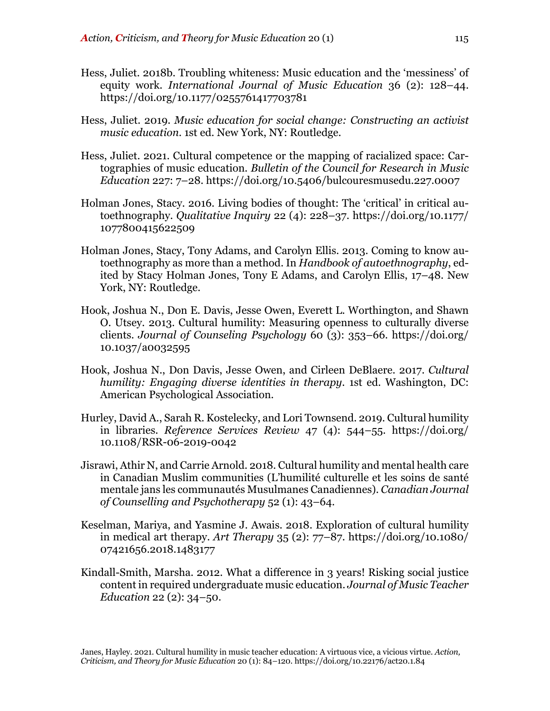- Hess, Juliet. 2018b. Troubling whiteness: Music education and the 'messiness' of equity work. *International Journal of Music Education* 36 (2): 128–44. https://doi.org/10.1177/0255761417703781
- Hess, Juliet. 2019. *Music education for social change: Constructing an activist music education*. 1st ed. New York, NY: Routledge.
- Hess, Juliet. 2021. Cultural competence or the mapping of racialized space: Cartographies of music education. *Bulletin of the Council for Research in Music Education* 227: 7–28. https://doi.org/10.5406/bulcouresmusedu.227.0007
- Holman Jones, Stacy. 2016. Living bodies of thought: The 'critical' in critical autoethnography. *Qualitative Inquiry* 22 (4): 228–37. https://doi.org/10.1177/ 1077800415622509
- Holman Jones, Stacy, Tony Adams, and Carolyn Ellis. 2013. Coming to know autoethnography as more than a method. In *Handbook of autoethnography*, edited by Stacy Holman Jones, Tony E Adams, and Carolyn Ellis, 17–48. New York, NY: Routledge.
- Hook, Joshua N., Don E. Davis, Jesse Owen, Everett L. Worthington, and Shawn O. Utsey. 2013. Cultural humility: Measuring openness to culturally diverse clients. *Journal of Counseling Psychology* 60 (3): 353–66. https://doi.org/ 10.1037/a0032595
- Hook, Joshua N., Don Davis, Jesse Owen, and Cirleen DeBlaere. 2017. *Cultural humility: Engaging diverse identities in therapy*. 1st ed. Washington, DC: American Psychological Association.
- Hurley, David A., Sarah R. Kostelecky, and Lori Townsend. 2019. Cultural humility in libraries. *Reference Services Review* 47 (4): 544–55. https://doi.org/ 10.1108/RSR-06-2019-0042
- Jisrawi, Athir N, and Carrie Arnold. 2018. Cultural humility and mental health care in Canadian Muslim communities (L'humilité culturelle et les soins de santé mentale jans les communautés Musulmanes Canadiennes). *Canadian Journal of Counselling and Psychotherapy* 52 (1): 43–64.
- Keselman, Mariya, and Yasmine J. Awais. 2018. Exploration of cultural humility in medical art therapy. *Art Therapy* 35 (2): 77–87. https://doi.org/10.1080/ 07421656.2018.1483177
- Kindall-Smith, Marsha. 2012. What a difference in 3 years! Risking social justice content in required undergraduate music education. *Journal of Music Teacher Education* 22 (2): 34–50.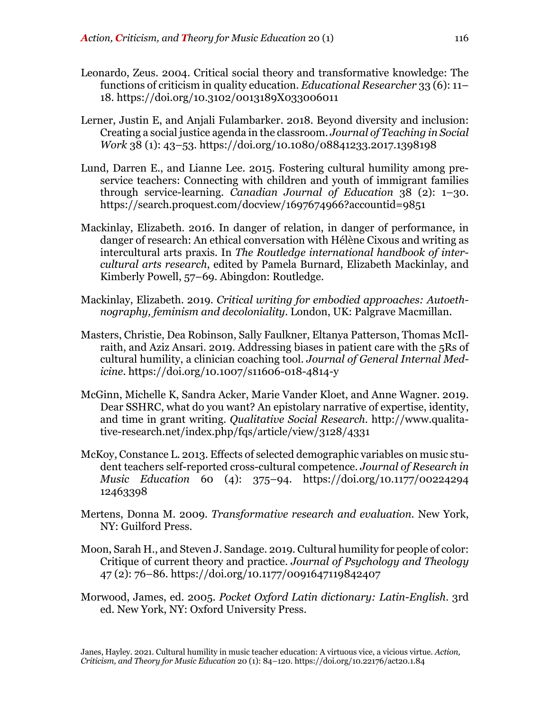- Leonardo, Zeus. 2004. Critical social theory and transformative knowledge: The functions of criticism in quality education. *Educational Researcher* 33 (6): 11– 18. https://doi.org/10.3102/0013189X033006011
- Lerner, Justin E, and Anjali Fulambarker. 2018. Beyond diversity and inclusion: Creating a social justice agenda in the classroom. *Journal of Teaching in Social Work* 38 (1): 43–53. https://doi.org/10.1080/08841233.2017.1398198
- Lund, Darren E., and Lianne Lee. 2015. Fostering cultural humility among preservice teachers: Connecting with children and youth of immigrant families through service-learning. *Canadian Journal of Education* 38 (2): 1–30. https://search.proquest.com/docview/1697674966?accountid=9851
- Mackinlay, Elizabeth. 2016. In danger of relation, in danger of performance, in danger of research: An ethical conversation with Hélène Cixous and writing as intercultural arts praxis. In *The Routledge international handbook of intercultural arts research*, edited by Pamela Burnard, Elizabeth Mackinlay, and Kimberly Powell, 57–69. Abingdon: Routledge.
- Mackinlay, Elizabeth. 2019. *Critical writing for embodied approaches: Autoethnography, feminism and decoloniality*. London, UK: Palgrave Macmillan.
- Masters, Christie, Dea Robinson, Sally Faulkner, Eltanya Patterson, Thomas McIlraith, and Aziz Ansari. 2019. Addressing biases in patient care with the 5Rs of cultural humility, a clinician coaching tool. *Journal of General Internal Medicine*. https://doi.org/10.1007/s11606-018-4814-y
- McGinn, Michelle K, Sandra Acker, Marie Vander Kloet, and Anne Wagner. 2019. Dear SSHRC, what do you want? An epistolary narrative of expertise, identity, and time in grant writing. *Qualitative Social Research*. http://www.qualitative-research.net/index.php/fqs/article/view/3128/4331
- McKoy, Constance L. 2013. Effects of selected demographic variables on music student teachers self-reported cross-cultural competence. *Journal of Research in Music Education* 60 (4): 375–94. https://doi.org/10.1177/00224294 12463398
- Mertens, Donna M. 2009. *Transformative research and evaluation*. New York, NY: Guilford Press.
- Moon, Sarah H., and Steven J. Sandage. 2019. Cultural humility for people of color: Critique of current theory and practice. *Journal of Psychology and Theology* 47 (2): 76–86. https://doi.org/10.1177/0091647119842407
- Morwood, James, ed. 2005. *Pocket Oxford Latin dictionary: Latin-English*. 3rd ed. New York, NY: Oxford University Press.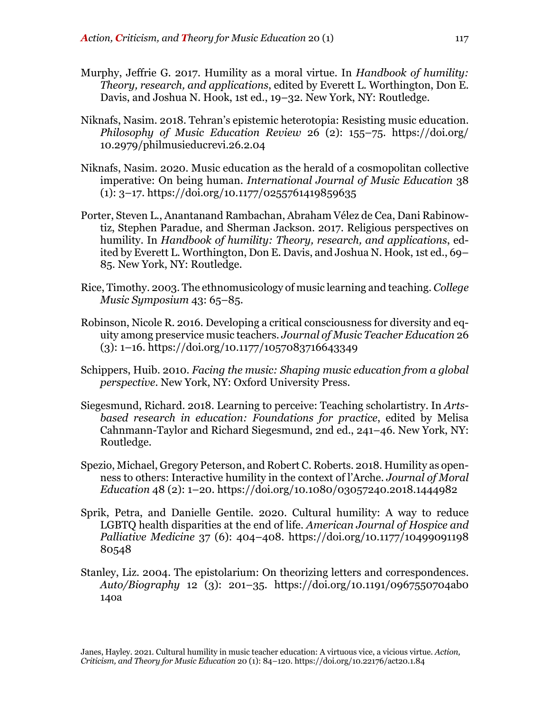- Murphy, Jeffrie G. 2017. Humility as a moral virtue. In *Handbook of humility: Theory, research, and applications*, edited by Everett L. Worthington, Don E. Davis, and Joshua N. Hook, 1st ed., 19–32. New York, NY: Routledge.
- Niknafs, Nasim. 2018. Tehran's epistemic heterotopia: Resisting music education. *Philosophy of Music Education Review* 26 (2): 155–75. https://doi.org/ 10.2979/philmusieducrevi.26.2.04
- Niknafs, Nasim. 2020. Music education as the herald of a cosmopolitan collective imperative: On being human. *International Journal of Music Education* 38  $(1): 3-17.$  https://doi.org/10.1177/0255761419859635
- Porter, Steven L., Anantanand Rambachan, Abraham Vélez de Cea, Dani Rabinowtiz, Stephen Paradue, and Sherman Jackson. 2017. Religious perspectives on humility. In *Handbook of humility: Theory, research, and applications*, edited by Everett L. Worthington, Don E. Davis, and Joshua N. Hook, 1st ed., 69– 85. New York, NY: Routledge.
- Rice, Timothy. 2003. The ethnomusicology of music learning and teaching. *College Music Symposium* 43: 65–85.
- Robinson, Nicole R. 2016. Developing a critical consciousness for diversity and equity among preservice music teachers. *Journal of Music Teacher Education* 26 (3): 1–16. https://doi.org/10.1177/1057083716643349
- Schippers, Huib. 2010. *Facing the music: Shaping music education from a global perspective*. New York, NY: Oxford University Press.
- Siegesmund, Richard. 2018. Learning to perceive: Teaching scholartistry. In *Artsbased research in education: Foundations for practice*, edited by Melisa Cahnmann-Taylor and Richard Siegesmund, 2nd ed., 241–46. New York, NY: Routledge.
- Spezio, Michael, Gregory Peterson, and Robert C. Roberts. 2018. Humility as openness to others: Interactive humility in the context of l'Arche. *Journal of Moral Education* 48 (2): 1–20. https://doi.org/10.1080/03057240.2018.1444982
- Sprik, Petra, and Danielle Gentile. 2020. Cultural humility: A way to reduce LGBTQ health disparities at the end of life. *American Journal of Hospice and Palliative Medicine* 37 (6): 404–408. https://doi.org/10.1177/10499091198 80548
- Stanley, Liz. 2004. The epistolarium: On theorizing letters and correspondences. *Auto/Biography* 12 (3): 201–35. https://doi.org/10.1191/0967550704ab0 14oa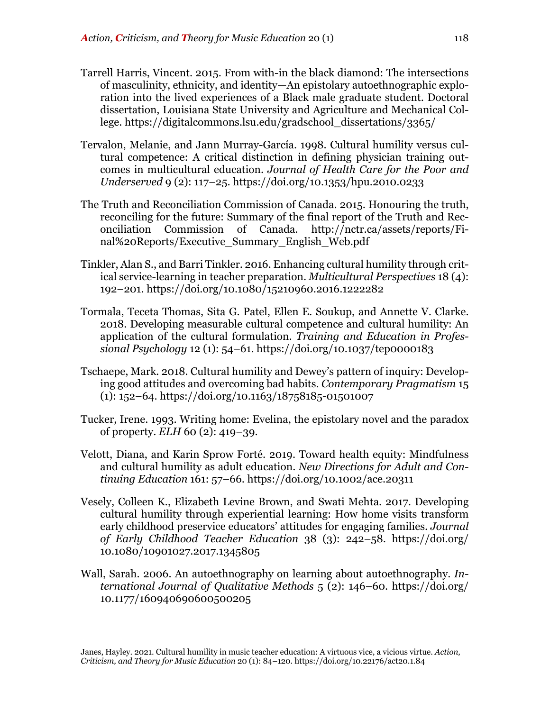- Tarrell Harris, Vincent. 2015. From with-in the black diamond: The intersections of masculinity, ethnicity, and identity—An epistolary autoethnographic exploration into the lived experiences of a Black male graduate student. Doctoral dissertation, Louisiana State University and Agriculture and Mechanical College. https://digitalcommons.lsu.edu/gradschool\_dissertations/3365/
- Tervalon, Melanie, and Jann Murray-García. 1998. Cultural humility versus cultural competence: A critical distinction in defining physician training outcomes in multicultural education. *Journal of Health Care for the Poor and Underserved* 9 (2): 117–25. https://doi.org/10.1353/hpu.2010.0233
- The Truth and Reconciliation Commission of Canada. 2015. Honouring the truth, reconciling for the future: Summary of the final report of the Truth and Reconciliation Commission of Canada. http://nctr.ca/assets/reports/Final%20Reports/Executive\_Summary\_English\_Web.pdf
- Tinkler, Alan S., and Barri Tinkler. 2016. Enhancing cultural humility through critical service-learning in teacher preparation. *Multicultural Perspectives* 18 (4): 192–201. https://doi.org/10.1080/15210960.2016.1222282
- Tormala, Teceta Thomas, Sita G. Patel, Ellen E. Soukup, and Annette V. Clarke. 2018. Developing measurable cultural competence and cultural humility: An application of the cultural formulation. *Training and Education in Professional Psychology* 12 (1): 54–61. https://doi.org/10.1037/tep0000183
- Tschaepe, Mark. 2018. Cultural humility and Dewey's pattern of inquiry: Developing good attitudes and overcoming bad habits. *Contemporary Pragmatism* 15 (1): 152–64. https://doi.org/10.1163/18758185-01501007
- Tucker, Irene. 1993. Writing home: Evelina, the epistolary novel and the paradox of property. *ELH* 60 (2): 419–39.
- Velott, Diana, and Karin Sprow Forté. 2019. Toward health equity: Mindfulness and cultural humility as adult education. *New Directions for Adult and Continuing Education* 161: 57–66. https://doi.org/10.1002/ace.20311
- Vesely, Colleen K., Elizabeth Levine Brown, and Swati Mehta. 2017. Developing cultural humility through experiential learning: How home visits transform early childhood preservice educators' attitudes for engaging families. *Journal of Early Childhood Teacher Education* 38 (3): 242–58. https://doi.org/ 10.1080/10901027.2017.1345805
- Wall, Sarah. 2006. An autoethnography on learning about autoethnography. *International Journal of Qualitative Methods* 5 (2): 146–60. https://doi.org/ 10.1177/160940690600500205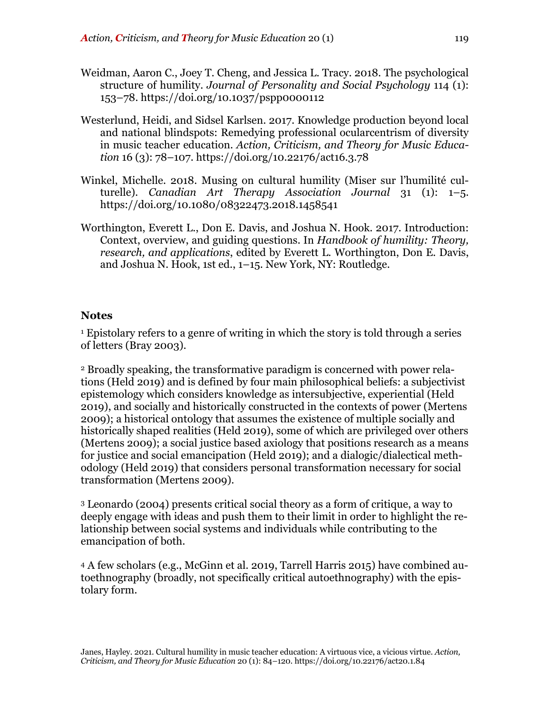- Weidman, Aaron C., Joey T. Cheng, and Jessica L. Tracy. 2018. The psychological structure of humility. *Journal of Personality and Social Psychology* 114 (1): 153–78. https://doi.org/10.1037/pspp0000112
- Westerlund, Heidi, and Sidsel Karlsen. 2017. Knowledge production beyond local and national blindspots: Remedying professional ocularcentrism of diversity in music teacher education. *Action, Criticism, and Theory for Music Education* 16 (3): 78–107. https://doi.org/10.22176/act16.3.78
- Winkel, Michelle. 2018. Musing on cultural humility (Miser sur l'humilité culturelle). *Canadian Art Therapy Association Journal* 31 (1): 1–5. https://doi.org/10.1080/08322473.2018.1458541
- Worthington, Everett L., Don E. Davis, and Joshua N. Hook. 2017. Introduction: Context, overview, and guiding questions. In *Handbook of humility: Theory, research, and applications*, edited by Everett L. Worthington, Don E. Davis, and Joshua N. Hook, 1st ed., 1–15. New York, NY: Routledge.

# **Notes**

<sup>1</sup> Epistolary refers to a genre of writing in which the story is told through a series of letters (Bray 2003).

<sup>2</sup> Broadly speaking, the transformative paradigm is concerned with power relations (Held 2019) and is defined by four main philosophical beliefs: a subjectivist epistemology which considers knowledge as intersubjective, experiential (Held 2019), and socially and historically constructed in the contexts of power (Mertens 2009); a historical ontology that assumes the existence of multiple socially and historically shaped realities (Held 2019), some of which are privileged over others (Mertens 2009); a social justice based axiology that positions research as a means for justice and social emancipation (Held 2019); and a dialogic/dialectical methodology (Held 2019) that considers personal transformation necessary for social transformation (Mertens 2009).

<sup>3</sup> Leonardo (2004) presents critical social theory as a form of critique, a way to deeply engage with ideas and push them to their limit in order to highlight the relationship between social systems and individuals while contributing to the emancipation of both.

<sup>4</sup> A few scholars (e.g., McGinn et al. 2019, Tarrell Harris 2015) have combined autoethnography (broadly, not specifically critical autoethnography) with the epistolary form.